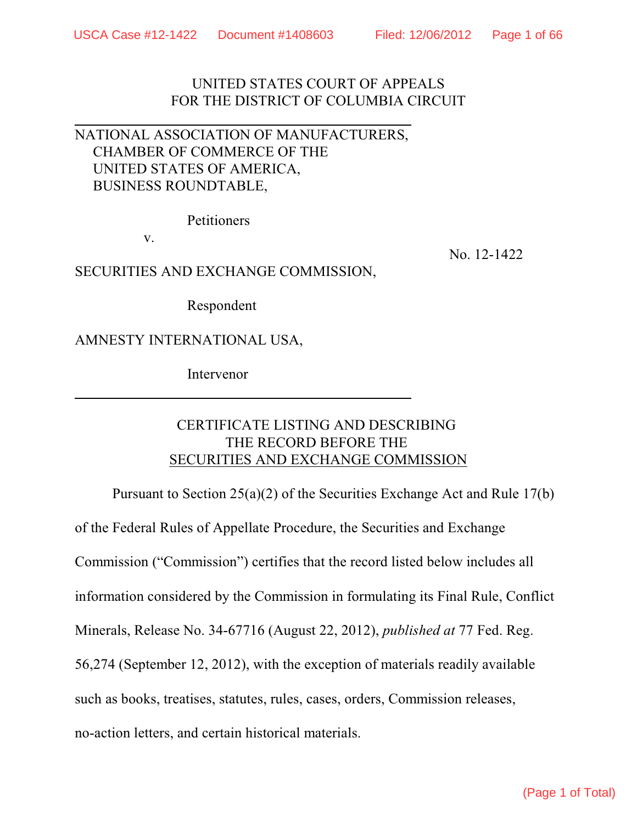UNITED STATES COURT OF APPEALS FOR THE DISTRICT OF COLUMBIA CIRCUIT

# NATIONAL ASSOCIATION OF MANUFACTURERS, CHAMBER OF COMMERCE OF THE UNITED STATES OF AMERICA, BUSINESS ROUNDTABLE,

Petitioners

v.

SECURITIES AND EXCHANGE COMMISSION,

No. 12-1422

Respondent

AMNESTY INTERNATIONAL USA,

Intervenor

# CERTIFICATE LISTING AND DESCRIBING THE RECORD BEFORE THE SECURITIES AND EXCHANGE COMMISSION

Pursuant to Section 25(a)(2) of the Securities Exchange Act and Rule 17(b) of the Federal Rules of Appellate Procedure, the Securities and Exchange Commission ("Commission") certifies that the record listed below includes all information considered by the Commission in formulating its Final Rule, Conflict Minerals, Release No. 34-67716 (August 22, 2012), *published at* 77 Fed. Reg. 56,274 (September 12, 2012), with the exception of materials readily available such as books, treatises, statutes, rules, cases, orders, Commission releases, no-action letters, and certain historical materials.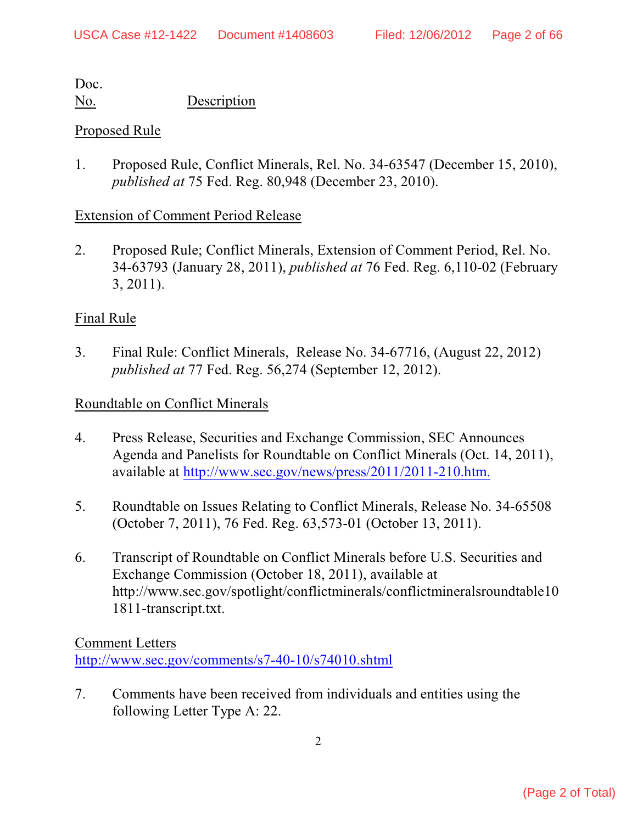No. Description

# Proposed Rule

1. Proposed Rule, Conflict Minerals, Rel. No. 34-63547 (December 15, 2010), *published at* 75 Fed. Reg. 80,948 (December 23, 2010).

# Extension of Comment Period Release

2. Proposed Rule; Conflict Minerals, Extension of Comment Period, Rel. No. 34-63793 (January 28, 2011), *published at* 76 Fed. Reg. 6,110-02 (February 3, 2011).

# Final Rule

3. Final Rule: Conflict Minerals, Release No. 34-67716, (August 22, 2012) *published at* 77 Fed. Reg. 56,274 (September 12, 2012).

# Roundtable on Conflict Minerals

- 4. Press Release, Securities and Exchange Commission, SEC Announces Agenda and Panelists for Roundtable on Conflict Minerals (Oct. 14, 2011), available at <http://www.sec.gov/news/press/2011/2011-210.htm.>
- 5. Roundtable on Issues Relating to Conflict Minerals, Release No. 34-65508 (October 7, 2011), 76 Fed. Reg. 63,573-01 (October 13, 2011).
- 6. Transcript of Roundtable on Conflict Minerals before U.S. Securities and Exchange Commission (October 18, 2011), available at http://www.sec.gov/spotlight/conflictminerals/conflictmineralsroundtable10 1811-transcript.txt.

# Comment Letters

<http://www.sec.gov/comments/s7-40-10/s74010.shtml>

7. Comments have been received from individuals and entities using the following Letter Type A: 22.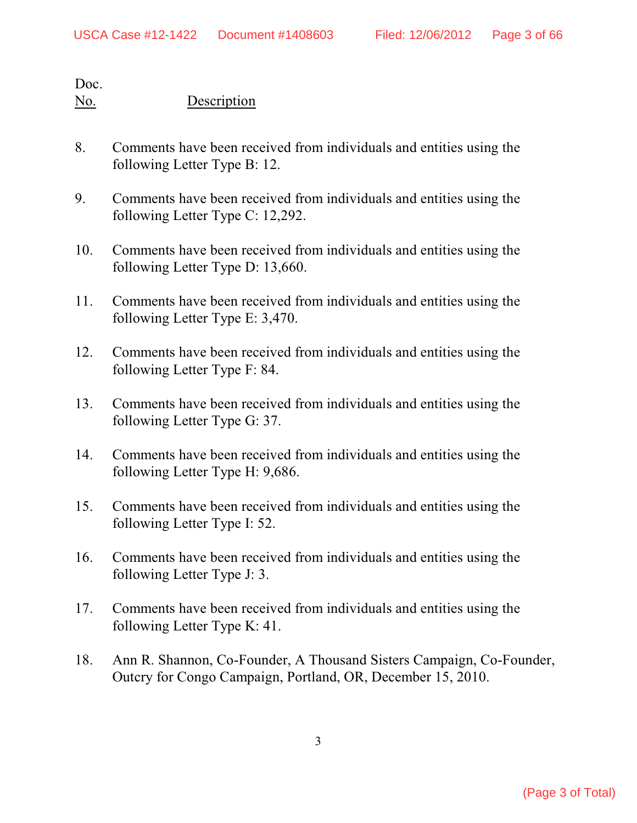- 8. Comments have been received from individuals and entities using the following Letter Type B: 12.
- 9. Comments have been received from individuals and entities using the following Letter Type C: 12,292.
- 10. Comments have been received from individuals and entities using the following Letter Type D: 13,660.
- 11. Comments have been received from individuals and entities using the following Letter Type E: 3,470.
- 12. Comments have been received from individuals and entities using the following Letter Type F: 84.
- 13. Comments have been received from individuals and entities using the following Letter Type G: 37.
- 14. Comments have been received from individuals and entities using the following Letter Type H: 9,686.
- 15. Comments have been received from individuals and entities using the following Letter Type I: 52.
- 16. Comments have been received from individuals and entities using the following Letter Type J: 3.
- 17. Comments have been received from individuals and entities using the following Letter Type K: 41.
- 18. Ann R. Shannon, Co-Founder, A Thousand Sisters Campaign, Co-Founder, Outcry for Congo Campaign, Portland, OR, December 15, 2010.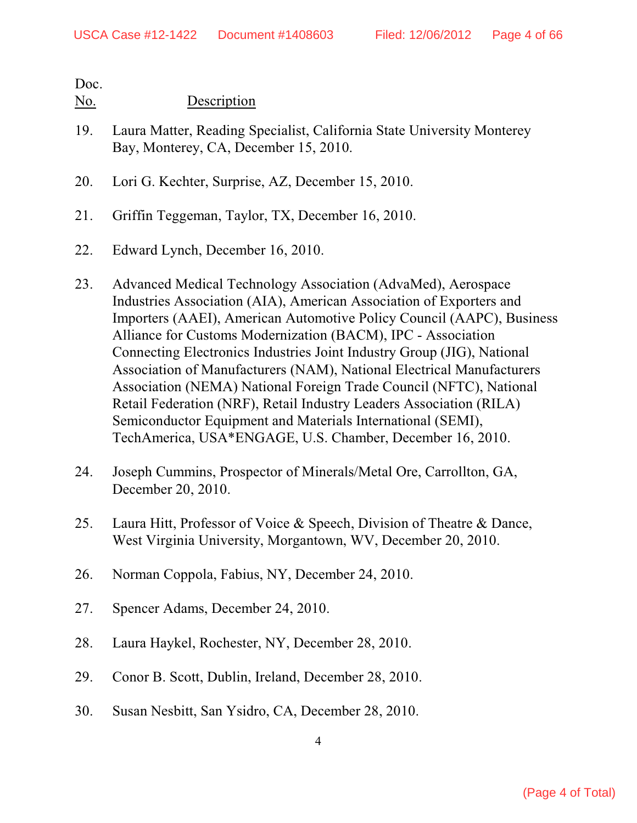- 19. Laura Matter, Reading Specialist, California State University Monterey Bay, Monterey, CA, December 15, 2010.
- 20. Lori G. Kechter, Surprise, AZ, December 15, 2010.
- 21. Griffin Teggeman, Taylor, TX, December 16, 2010.
- 22. Edward Lynch, December 16, 2010.
- 23. Advanced Medical Technology Association (AdvaMed), Aerospace Industries Association (AIA), American Association of Exporters and Importers (AAEI), American Automotive Policy Council (AAPC), Business Alliance for Customs Modernization (BACM), IPC - Association Connecting Electronics Industries Joint Industry Group (JIG), National Association of Manufacturers (NAM), National Electrical Manufacturers Association (NEMA) National Foreign Trade Council (NFTC), National Retail Federation (NRF), Retail Industry Leaders Association (RILA) Semiconductor Equipment and Materials International (SEMI), TechAmerica, USA\*ENGAGE, U.S. Chamber, December 16, 2010.
- 24. Joseph Cummins, Prospector of Minerals/Metal Ore, Carrollton, GA, December 20, 2010.
- 25. Laura Hitt, Professor of Voice & Speech, Division of Theatre & Dance, West Virginia University, Morgantown, WV, December 20, 2010.
- 26. Norman Coppola, Fabius, NY, December 24, 2010.
- 27. Spencer Adams, December 24, 2010.
- 28. Laura Haykel, Rochester, NY, December 28, 2010.
- 29. Conor B. Scott, Dublin, Ireland, December 28, 2010.
- 30. Susan Nesbitt, San Ysidro, CA, December 28, 2010.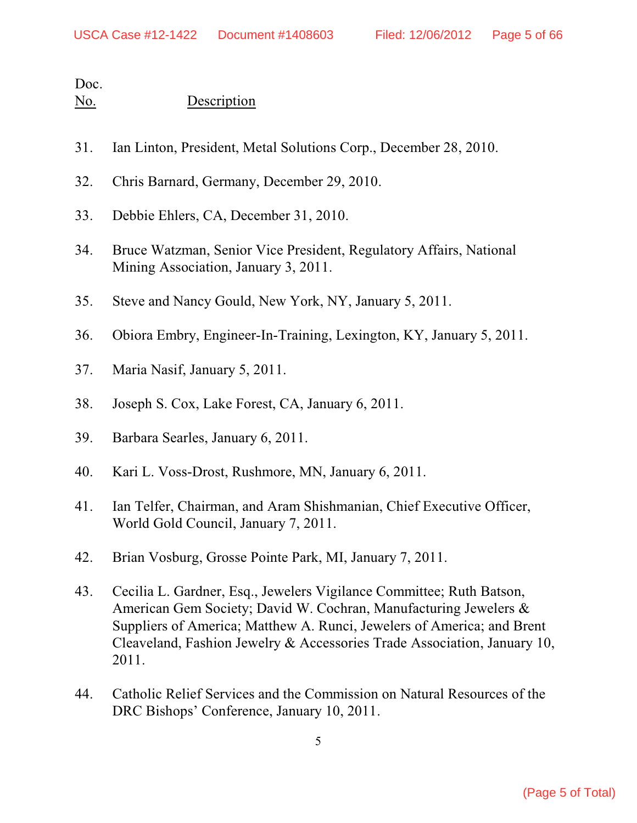- 31. Ian Linton, President, Metal Solutions Corp., December 28, 2010.
- 32. Chris Barnard, Germany, December 29, 2010.
- 33. Debbie Ehlers, CA, December 31, 2010.
- 34. Bruce Watzman, Senior Vice President, Regulatory Affairs, National Mining Association, January 3, 2011.
- 35. Steve and Nancy Gould, New York, NY, January 5, 2011.
- 36. Obiora Embry, Engineer-In-Training, Lexington, KY, January 5, 2011.
- 37. Maria Nasif, January 5, 2011.
- 38. Joseph S. Cox, Lake Forest, CA, January 6, 2011.
- 39. Barbara Searles, January 6, 2011.
- 40. Kari L. Voss-Drost, Rushmore, MN, January 6, 2011.
- 41. Ian Telfer, Chairman, and Aram Shishmanian, Chief Executive Officer, World Gold Council, January 7, 2011.
- 42. Brian Vosburg, Grosse Pointe Park, MI, January 7, 2011.
- 43. Cecilia L. Gardner, Esq., Jewelers Vigilance Committee; Ruth Batson, American Gem Society; David W. Cochran, Manufacturing Jewelers & Suppliers of America; Matthew A. Runci, Jewelers of America; and Brent Cleaveland, Fashion Jewelry & Accessories Trade Association, January 10, 2011.
- 44. Catholic Relief Services and the Commission on Natural Resources of the DRC Bishops' Conference, January 10, 2011.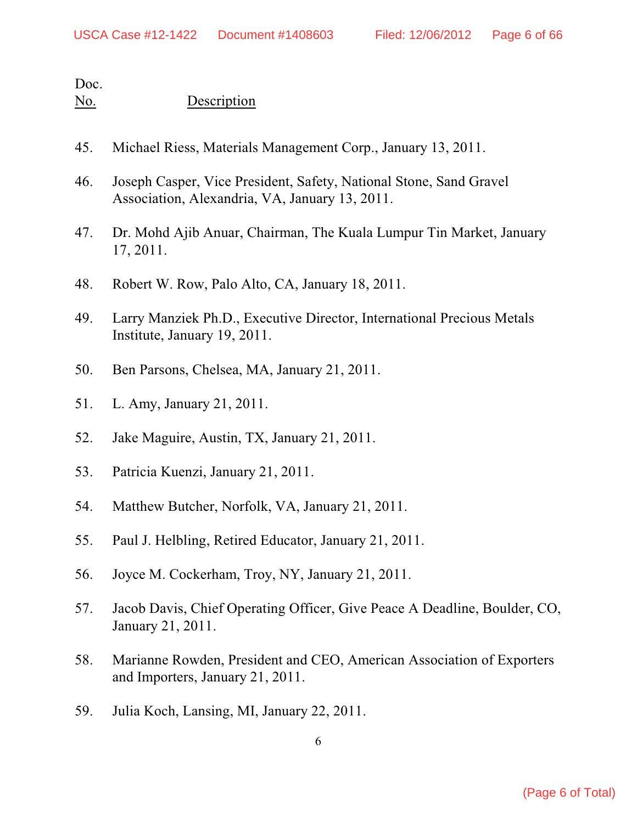- 45. Michael Riess, Materials Management Corp., January 13, 2011.
- 46. Joseph Casper, Vice President, Safety, National Stone, Sand Gravel Association, Alexandria, VA, January 13, 2011.
- 47. Dr. Mohd Ajib Anuar, Chairman, The Kuala Lumpur Tin Market, January 17, 2011.
- 48. Robert W. Row, Palo Alto, CA, January 18, 2011.
- 49. Larry Manziek Ph.D., Executive Director, International Precious Metals Institute, January 19, 2011.
- 50. Ben Parsons, Chelsea, MA, January 21, 2011.
- 51. L. Amy, January 21, 2011.
- 52. Jake Maguire, Austin, TX, January 21, 2011.
- 53. Patricia Kuenzi, January 21, 2011.
- 54. Matthew Butcher, Norfolk, VA, January 21, 2011.
- 55. Paul J. Helbling, Retired Educator, January 21, 2011.
- 56. Joyce M. Cockerham, Troy, NY, January 21, 2011.
- 57. Jacob Davis, Chief Operating Officer, Give Peace A Deadline, Boulder, CO, January 21, 2011.
- 58. Marianne Rowden, President and CEO, American Association of Exporters and Importers, January 21, 2011.
- 59. Julia Koch, Lansing, MI, January 22, 2011.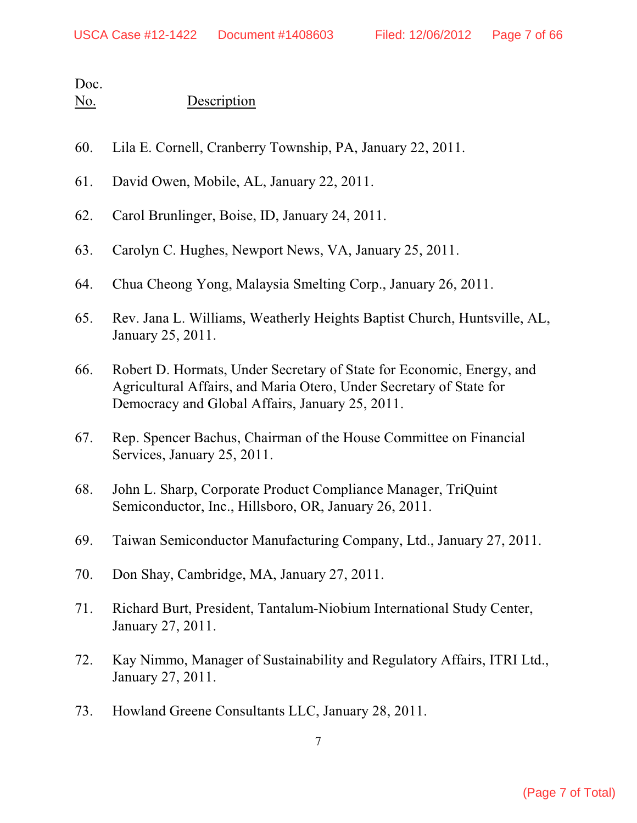- 60. Lila E. Cornell, Cranberry Township, PA, January 22, 2011.
- 61. David Owen, Mobile, AL, January 22, 2011.
- 62. Carol Brunlinger, Boise, ID, January 24, 2011.
- 63. Carolyn C. Hughes, Newport News, VA, January 25, 2011.
- 64. Chua Cheong Yong, Malaysia Smelting Corp., January 26, 2011.
- 65. Rev. Jana L. Williams, Weatherly Heights Baptist Church, Huntsville, AL, January 25, 2011.
- 66. Robert D. Hormats, Under Secretary of State for Economic, Energy, and Agricultural Affairs, and Maria Otero, Under Secretary of State for Democracy and Global Affairs, January 25, 2011.
- 67. Rep. Spencer Bachus, Chairman of the House Committee on Financial Services, January 25, 2011.
- 68. John L. Sharp, Corporate Product Compliance Manager, TriQuint Semiconductor, Inc., Hillsboro, OR, January 26, 2011.
- 69. Taiwan Semiconductor Manufacturing Company, Ltd., January 27, 2011.
- 70. Don Shay, Cambridge, MA, January 27, 2011.
- 71. Richard Burt, President, Tantalum-Niobium International Study Center, January 27, 2011.
- 72. Kay Nimmo, Manager of Sustainability and Regulatory Affairs, ITRI Ltd., January 27, 2011.
- 73. Howland Greene Consultants LLC, January 28, 2011.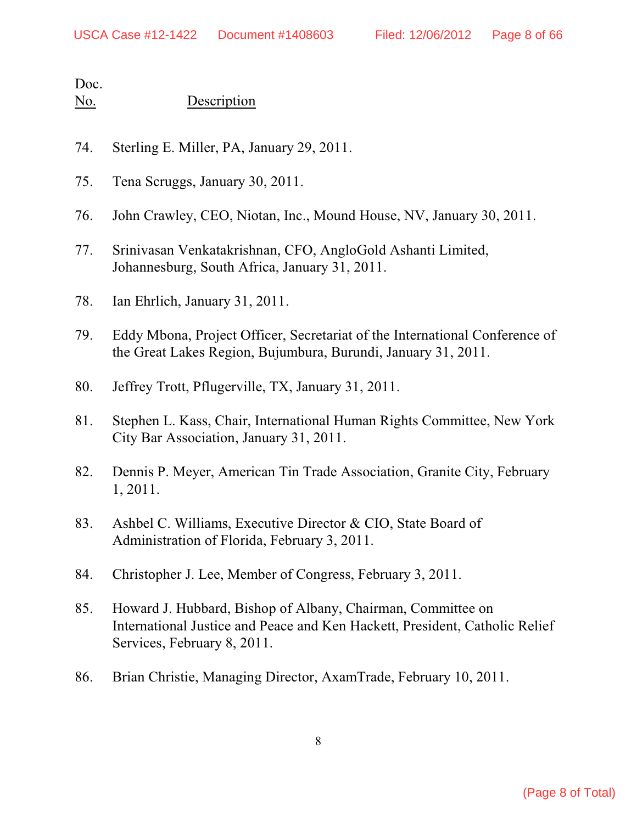- 74. Sterling E. Miller, PA, January 29, 2011.
- 75. Tena Scruggs, January 30, 2011.
- 76. John Crawley, CEO, Niotan, Inc., Mound House, NV, January 30, 2011.
- 77. Srinivasan Venkatakrishnan, CFO, AngloGold Ashanti Limited, Johannesburg, South Africa, January 31, 2011.
- 78. Ian Ehrlich, January 31, 2011.
- 79. Eddy Mbona, Project Officer, Secretariat of the International Conference of the Great Lakes Region, Bujumbura, Burundi, January 31, 2011.
- 80. Jeffrey Trott, Pflugerville, TX, January 31, 2011.
- 81. Stephen L. Kass, Chair, International Human Rights Committee, New York City Bar Association, January 31, 2011.
- 82. Dennis P. Meyer, American Tin Trade Association, Granite City, February 1, 2011.
- 83. Ashbel C. Williams, Executive Director & CIO, State Board of Administration of Florida, February 3, 2011.
- 84. Christopher J. Lee, Member of Congress, February 3, 2011.
- 85. Howard J. Hubbard, Bishop of Albany, Chairman, Committee on International Justice and Peace and Ken Hackett, President, Catholic Relief Services, February 8, 2011.
- 86. Brian Christie, Managing Director, AxamTrade, February 10, 2011.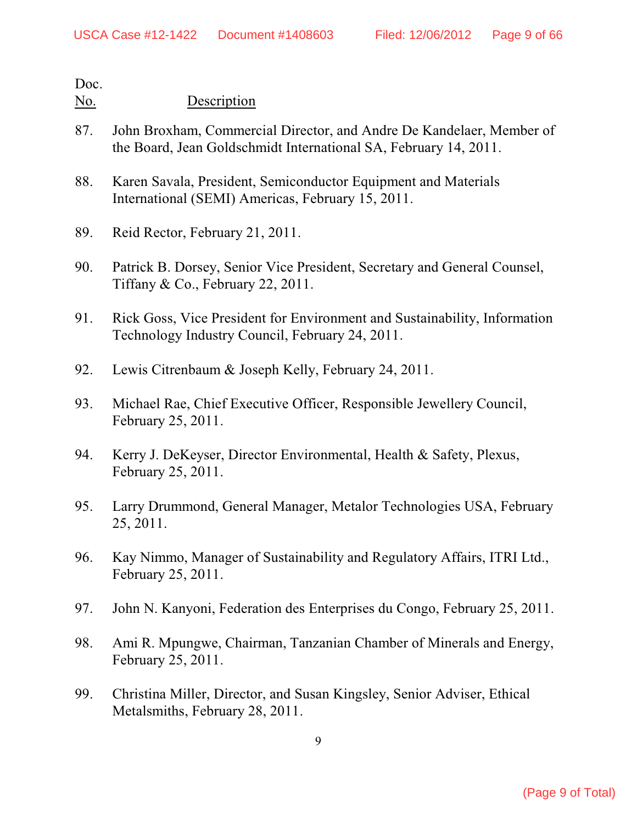- 87. John Broxham, Commercial Director, and Andre De Kandelaer, Member of the Board, Jean Goldschmidt International SA, February 14, 2011.
- 88. Karen Savala, President, Semiconductor Equipment and Materials International (SEMI) Americas, February 15, 2011.
- 89. Reid Rector, February 21, 2011.
- 90. Patrick B. Dorsey, Senior Vice President, Secretary and General Counsel, Tiffany & Co., February 22, 2011.
- 91. Rick Goss, Vice President for Environment and Sustainability, Information Technology Industry Council, February 24, 2011.
- 92. Lewis Citrenbaum & Joseph Kelly, February 24, 2011.
- 93. Michael Rae, Chief Executive Officer, Responsible Jewellery Council, February 25, 2011.
- 94. Kerry J. DeKeyser, Director Environmental, Health & Safety, Plexus, February 25, 2011.
- 95. Larry Drummond, General Manager, Metalor Technologies USA, February 25, 2011.
- 96. Kay Nimmo, Manager of Sustainability and Regulatory Affairs, ITRI Ltd., February 25, 2011.
- 97. John N. Kanyoni, Federation des Enterprises du Congo, February 25, 2011.
- 98. Ami R. Mpungwe, Chairman, Tanzanian Chamber of Minerals and Energy, February 25, 2011.
- 99. Christina Miller, Director, and Susan Kingsley, Senior Adviser, Ethical Metalsmiths, February 28, 2011.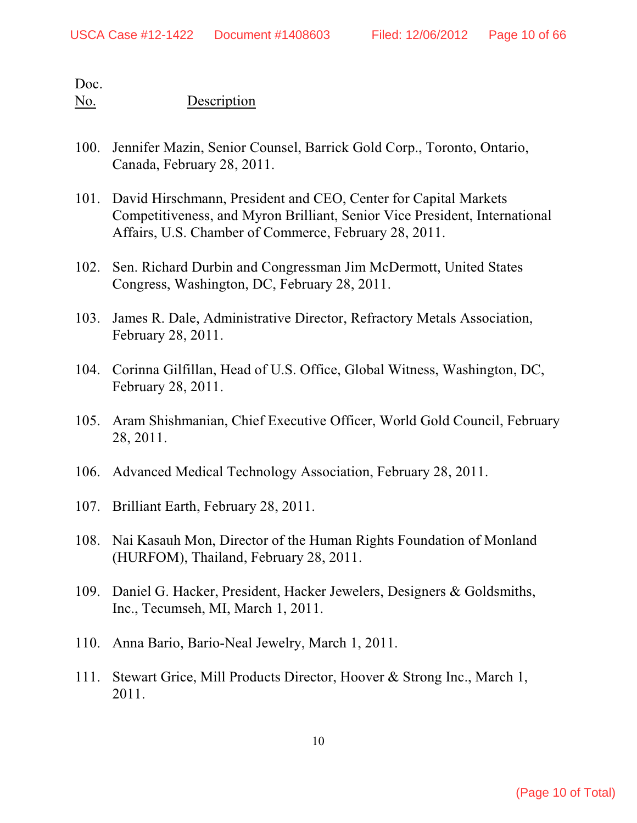- 100. Jennifer Mazin, Senior Counsel, Barrick Gold Corp., Toronto, Ontario, Canada, February 28, 2011.
- 101. David Hirschmann, President and CEO, Center for Capital Markets Competitiveness, and Myron Brilliant, Senior Vice President, International Affairs, U.S. Chamber of Commerce, February 28, 2011.
- 102. Sen. Richard Durbin and Congressman Jim McDermott, United States Congress, Washington, DC, February 28, 2011.
- 103. James R. Dale, Administrative Director, Refractory Metals Association, February 28, 2011.
- 104. Corinna Gilfillan, Head of U.S. Office, Global Witness, Washington, DC, February 28, 2011.
- 105. Aram Shishmanian, Chief Executive Officer, World Gold Council, February 28, 2011.
- 106. Advanced Medical Technology Association, February 28, 2011.
- 107. Brilliant Earth, February 28, 2011.
- 108. Nai Kasauh Mon, Director of the Human Rights Foundation of Monland (HURFOM), Thailand, February 28, 2011.
- 109. Daniel G. Hacker, President, Hacker Jewelers, Designers & Goldsmiths, Inc., Tecumseh, MI, March 1, 2011.
- 110. Anna Bario, Bario-Neal Jewelry, March 1, 2011.
- 111. Stewart Grice, Mill Products Director, Hoover & Strong Inc., March 1, 2011.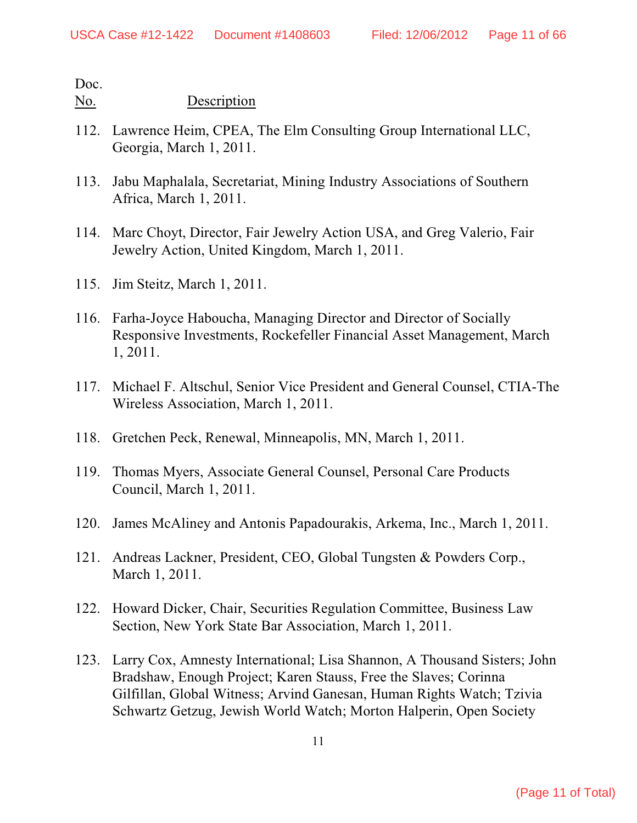- 112. Lawrence Heim, CPEA, The Elm Consulting Group International LLC, Georgia, March 1, 2011.
- 113. Jabu Maphalala, Secretariat, Mining Industry Associations of Southern Africa, March 1, 2011.
- 114. Marc Choyt, Director, Fair Jewelry Action USA, and Greg Valerio, Fair Jewelry Action, United Kingdom, March 1, 2011.
- 115. Jim Steitz, March 1, 2011.
- 116. Farha-Joyce Haboucha, Managing Director and Director of Socially Responsive Investments, Rockefeller Financial Asset Management, March 1, 2011.
- 117. Michael F. Altschul, Senior Vice President and General Counsel, CTIA-The Wireless Association, March 1, 2011.
- 118. Gretchen Peck, Renewal, Minneapolis, MN, March 1, 2011.
- 119. Thomas Myers, Associate General Counsel, Personal Care Products Council, March 1, 2011.
- 120. James McAliney and Antonis Papadourakis, Arkema, Inc., March 1, 2011.
- 121. Andreas Lackner, President, CEO, Global Tungsten & Powders Corp., March 1, 2011.
- 122. Howard Dicker, Chair, Securities Regulation Committee, Business Law Section, New York State Bar Association, March 1, 2011.
- 123. Larry Cox, Amnesty International; Lisa Shannon, A Thousand Sisters; John Bradshaw, Enough Project; Karen Stauss, Free the Slaves; Corinna Gilfillan, Global Witness; Arvind Ganesan, Human Rights Watch; Tzivia Schwartz Getzug, Jewish World Watch; Morton Halperin, Open Society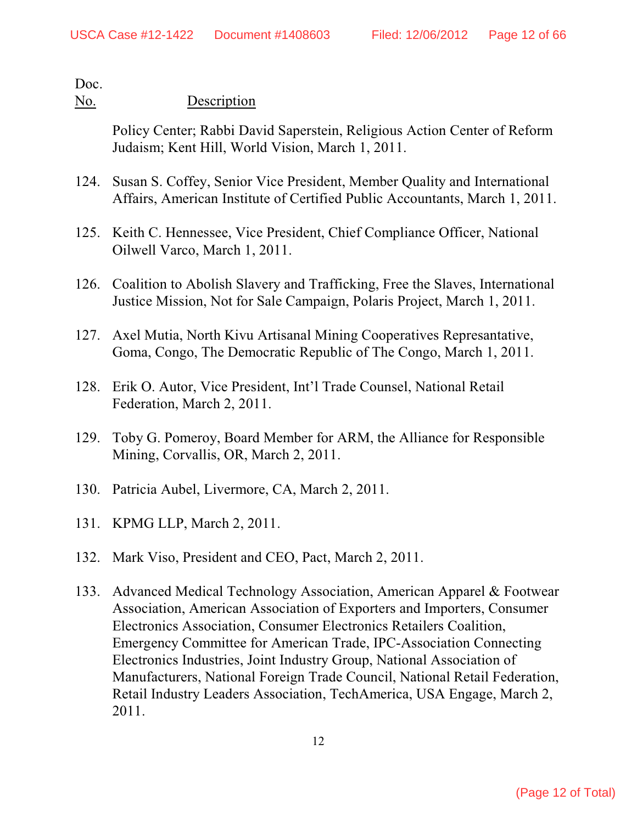### No. Description

Policy Center; Rabbi David Saperstein, Religious Action Center of Reform Judaism; Kent Hill, World Vision, March 1, 2011.

- 124. Susan S. Coffey, Senior Vice President, Member Quality and International Affairs, American Institute of Certified Public Accountants, March 1, 2011.
- 125. Keith C. Hennessee, Vice President, Chief Compliance Officer, National Oilwell Varco, March 1, 2011.
- 126. Coalition to Abolish Slavery and Trafficking, Free the Slaves, International Justice Mission, Not for Sale Campaign, Polaris Project, March 1, 2011.
- 127. Axel Mutia, North Kivu Artisanal Mining Cooperatives Represantative, Goma, Congo, The Democratic Republic of The Congo, March 1, 2011.
- 128. Erik O. Autor, Vice President, Int'l Trade Counsel, National Retail Federation, March 2, 2011.
- 129. Toby G. Pomeroy, Board Member for ARM, the Alliance for Responsible Mining, Corvallis, OR, March 2, 2011.
- 130. Patricia Aubel, Livermore, CA, March 2, 2011.
- 131. KPMG LLP, March 2, 2011.
- 132. Mark Viso, President and CEO, Pact, March 2, 2011.
- 133. Advanced Medical Technology Association, American Apparel & Footwear Association, American Association of Exporters and Importers, Consumer Electronics Association, Consumer Electronics Retailers Coalition, Emergency Committee for American Trade, IPC-Association Connecting Electronics Industries, Joint Industry Group, National Association of Manufacturers, National Foreign Trade Council, National Retail Federation, Retail Industry Leaders Association, TechAmerica, USA Engage, March 2, 2011.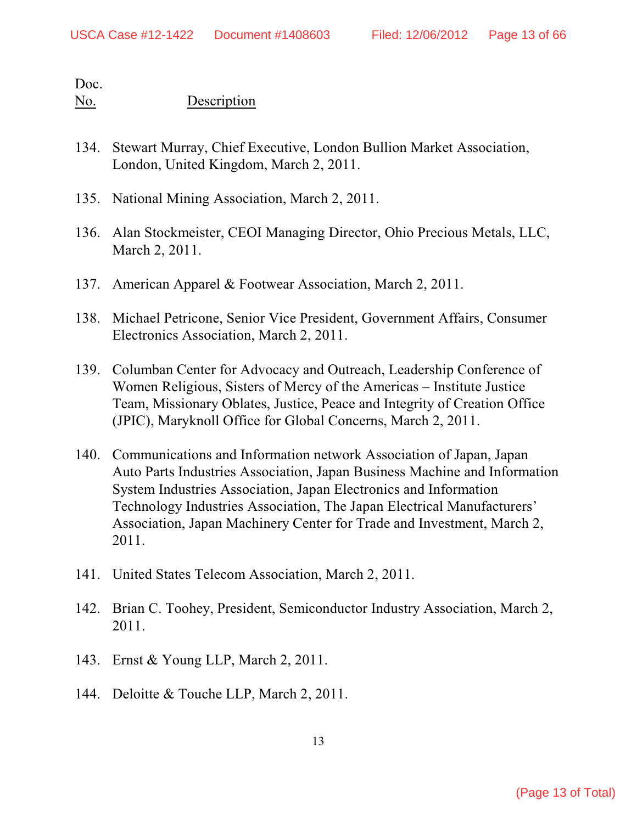- 134. Stewart Murray, Chief Executive, London Bullion Market Association, London, United Kingdom, March 2, 2011.
- 135. National Mining Association, March 2, 2011.
- 136. Alan Stockmeister, CEOI Managing Director, Ohio Precious Metals, LLC, March 2, 2011.
- 137. American Apparel & Footwear Association, March 2, 2011.
- 138. Michael Petricone, Senior Vice President, Government Affairs, Consumer Electronics Association, March 2, 2011.
- 139. Columban Center for Advocacy and Outreach, Leadership Conference of Women Religious, Sisters of Mercy of the Americas – Institute Justice Team, Missionary Oblates, Justice, Peace and Integrity of Creation Office (JPIC), Maryknoll Office for Global Concerns, March 2, 2011.
- 140. Communications and Information network Association of Japan, Japan Auto Parts Industries Association, Japan Business Machine and Information System Industries Association, Japan Electronics and Information Technology Industries Association, The Japan Electrical Manufacturers' Association, Japan Machinery Center for Trade and Investment, March 2, 2011.
- 141. United States Telecom Association, March 2, 2011.
- 142. Brian C. Toohey, President, Semiconductor Industry Association, March 2, 2011.
- 143. Ernst & Young LLP, March 2, 2011.
- 144. Deloitte & Touche LLP, March 2, 2011.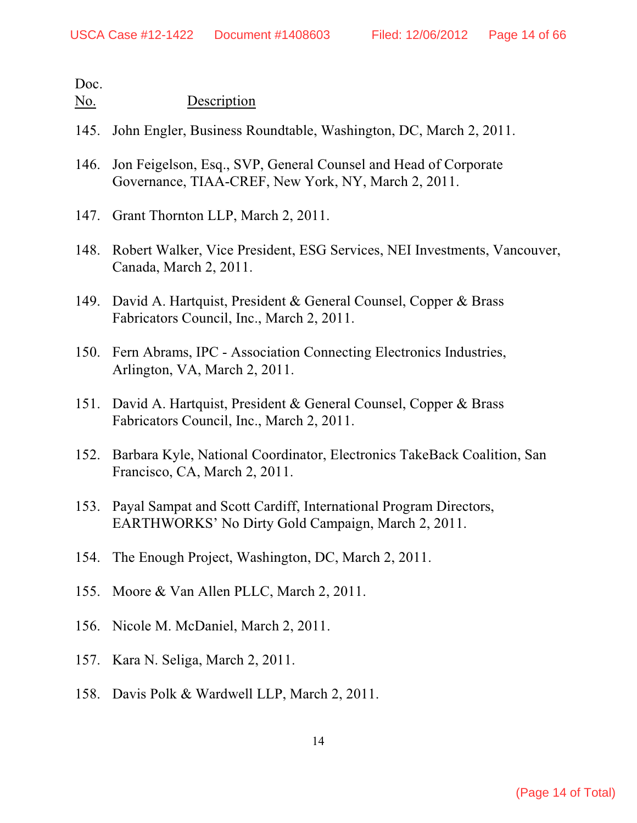- 145. John Engler, Business Roundtable, Washington, DC, March 2, 2011.
- 146. Jon Feigelson, Esq., SVP, General Counsel and Head of Corporate Governance, TIAA-CREF, New York, NY, March 2, 2011.
- 147. Grant Thornton LLP, March 2, 2011.
- 148. Robert Walker, Vice President, ESG Services, NEI Investments, Vancouver, Canada, March 2, 2011.
- 149. David A. Hartquist, President & General Counsel, Copper & Brass Fabricators Council, Inc., March 2, 2011.
- 150. Fern Abrams, IPC Association Connecting Electronics Industries, Arlington, VA, March 2, 2011.
- 151. David A. Hartquist, President & General Counsel, Copper & Brass Fabricators Council, Inc., March 2, 2011.
- 152. Barbara Kyle, National Coordinator, Electronics TakeBack Coalition, San Francisco, CA, March 2, 2011.
- 153. Payal Sampat and Scott Cardiff, International Program Directors, EARTHWORKS' No Dirty Gold Campaign, March 2, 2011.
- 154. The Enough Project, Washington, DC, March 2, 2011.
- 155. Moore & Van Allen PLLC, March 2, 2011.
- 156. Nicole M. McDaniel, March 2, 2011.
- 157. Kara N. Seliga, March 2, 2011.
- 158. Davis Polk & Wardwell LLP, March 2, 2011.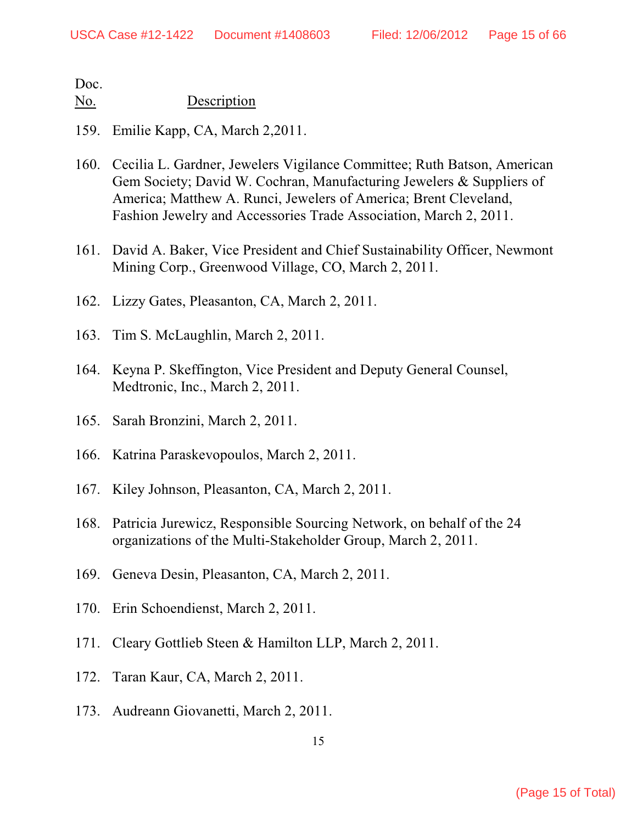- 159. Emilie Kapp, CA, March 2,2011.
- 160. Cecilia L. Gardner, Jewelers Vigilance Committee; Ruth Batson, American Gem Society; David W. Cochran, Manufacturing Jewelers & Suppliers of America; Matthew A. Runci, Jewelers of America; Brent Cleveland, Fashion Jewelry and Accessories Trade Association, March 2, 2011.
- 161. David A. Baker, Vice President and Chief Sustainability Officer, Newmont Mining Corp., Greenwood Village, CO, March 2, 2011.
- 162. Lizzy Gates, Pleasanton, CA, March 2, 2011.
- 163. Tim S. McLaughlin, March 2, 2011.
- 164. Keyna P. Skeffington, Vice President and Deputy General Counsel, Medtronic, Inc., March 2, 2011.
- 165. Sarah Bronzini, March 2, 2011.
- 166. Katrina Paraskevopoulos, March 2, 2011.
- 167. Kiley Johnson, Pleasanton, CA, March 2, 2011.
- 168. Patricia Jurewicz, Responsible Sourcing Network, on behalf of the 24 organizations of the Multi-Stakeholder Group, March 2, 2011.
- 169. Geneva Desin, Pleasanton, CA, March 2, 2011.
- 170. Erin Schoendienst, March 2, 2011.
- 171. Cleary Gottlieb Steen & Hamilton LLP, March 2, 2011.
- 172. Taran Kaur, CA, March 2, 2011.
- 173. Audreann Giovanetti, March 2, 2011.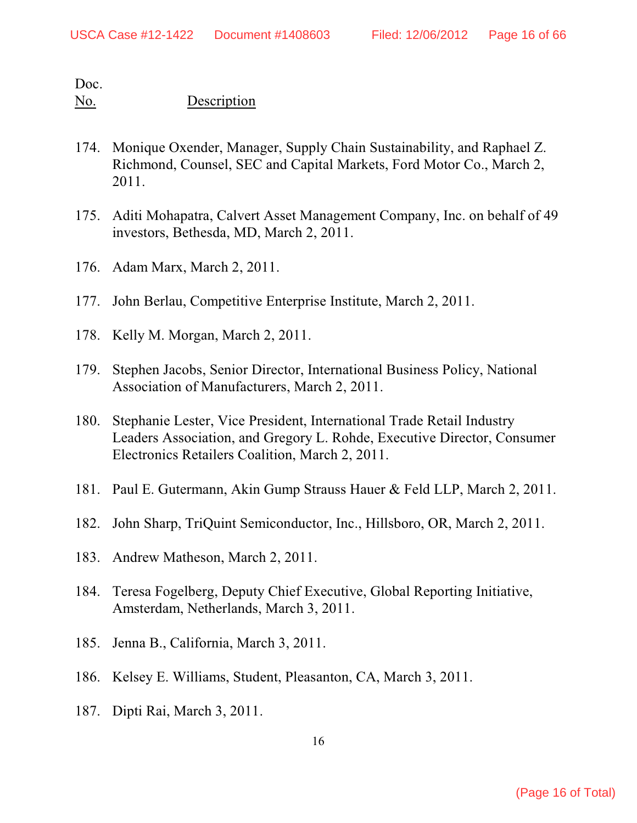- 174. Monique Oxender, Manager, Supply Chain Sustainability, and Raphael Z. Richmond, Counsel, SEC and Capital Markets, Ford Motor Co., March 2, 2011.
- 175. Aditi Mohapatra, Calvert Asset Management Company, Inc. on behalf of 49 investors, Bethesda, MD, March 2, 2011.
- 176. Adam Marx, March 2, 2011.
- 177. John Berlau, Competitive Enterprise Institute, March 2, 2011.
- 178. Kelly M. Morgan, March 2, 2011.
- 179. Stephen Jacobs, Senior Director, International Business Policy, National Association of Manufacturers, March 2, 2011.
- 180. Stephanie Lester, Vice President, International Trade Retail Industry Leaders Association, and Gregory L. Rohde, Executive Director, Consumer Electronics Retailers Coalition, March 2, 2011.
- 181. Paul E. Gutermann, Akin Gump Strauss Hauer & Feld LLP, March 2, 2011.
- 182. John Sharp, TriQuint Semiconductor, Inc., Hillsboro, OR, March 2, 2011.
- 183. Andrew Matheson, March 2, 2011.
- 184. Teresa Fogelberg, Deputy Chief Executive, Global Reporting Initiative, Amsterdam, Netherlands, March 3, 2011.
- 185. Jenna B., California, March 3, 2011.
- 186. Kelsey E. Williams, Student, Pleasanton, CA, March 3, 2011.
- 187. Dipti Rai, March 3, 2011.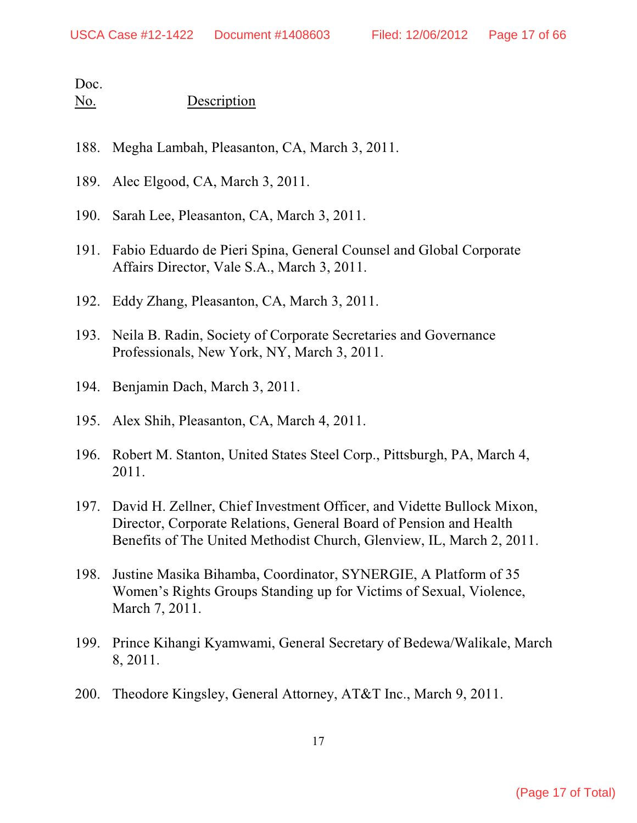- 188. Megha Lambah, Pleasanton, CA, March 3, 2011.
- 189. Alec Elgood, CA, March 3, 2011.
- 190. Sarah Lee, Pleasanton, CA, March 3, 2011.
- 191. Fabio Eduardo de Pieri Spina, General Counsel and Global Corporate Affairs Director, Vale S.A., March 3, 2011.
- 192. Eddy Zhang, Pleasanton, CA, March 3, 2011.
- 193. Neila B. Radin, Society of Corporate Secretaries and Governance Professionals, New York, NY, March 3, 2011.
- 194. Benjamin Dach, March 3, 2011.
- 195. Alex Shih, Pleasanton, CA, March 4, 2011.
- 196. Robert M. Stanton, United States Steel Corp., Pittsburgh, PA, March 4, 2011.
- 197. David H. Zellner, Chief Investment Officer, and Vidette Bullock Mixon, Director, Corporate Relations, General Board of Pension and Health Benefits of The United Methodist Church, Glenview, IL, March 2, 2011.
- 198. Justine Masika Bihamba, Coordinator, SYNERGIE, A Platform of 35 Women's Rights Groups Standing up for Victims of Sexual, Violence, March 7, 2011.
- 199. Prince Kihangi Kyamwami, General Secretary of Bedewa/Walikale, March 8, 2011.
- 200. Theodore Kingsley, General Attorney, AT&T Inc., March 9, 2011.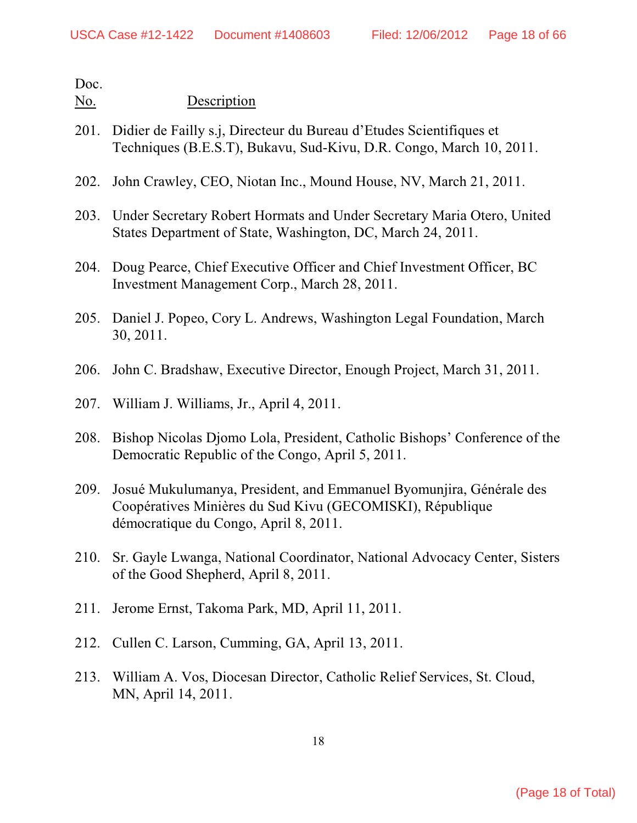- 201. Didier de Failly s.j, Directeur du Bureau d'Etudes Scientifiques et Techniques (B.E.S.T), Bukavu, Sud-Kivu, D.R. Congo, March 10, 2011.
- 202. John Crawley, CEO, Niotan Inc., Mound House, NV, March 21, 2011.
- 203. Under Secretary Robert Hormats and Under Secretary Maria Otero, United States Department of State, Washington, DC, March 24, 2011.
- 204. Doug Pearce, Chief Executive Officer and Chief Investment Officer, BC Investment Management Corp., March 28, 2011.
- 205. Daniel J. Popeo, Cory L. Andrews, Washington Legal Foundation, March 30, 2011.
- 206. John C. Bradshaw, Executive Director, Enough Project, March 31, 2011.
- 207. William J. Williams, Jr., April 4, 2011.
- 208. Bishop Nicolas Djomo Lola, President, Catholic Bishops' Conference of the Democratic Republic of the Congo, April 5, 2011.
- 209. Josué Mukulumanya, President, and Emmanuel Byomunjira, Générale des Coopératives Minières du Sud Kivu (GECOMISKI), République démocratique du Congo, April 8, 2011.
- 210. Sr. Gayle Lwanga, National Coordinator, National Advocacy Center, Sisters of the Good Shepherd, April 8, 2011.
- 211. Jerome Ernst, Takoma Park, MD, April 11, 2011.
- 212. Cullen C. Larson, Cumming, GA, April 13, 2011.
- 213. William A. Vos, Diocesan Director, Catholic Relief Services, St. Cloud, MN, April 14, 2011.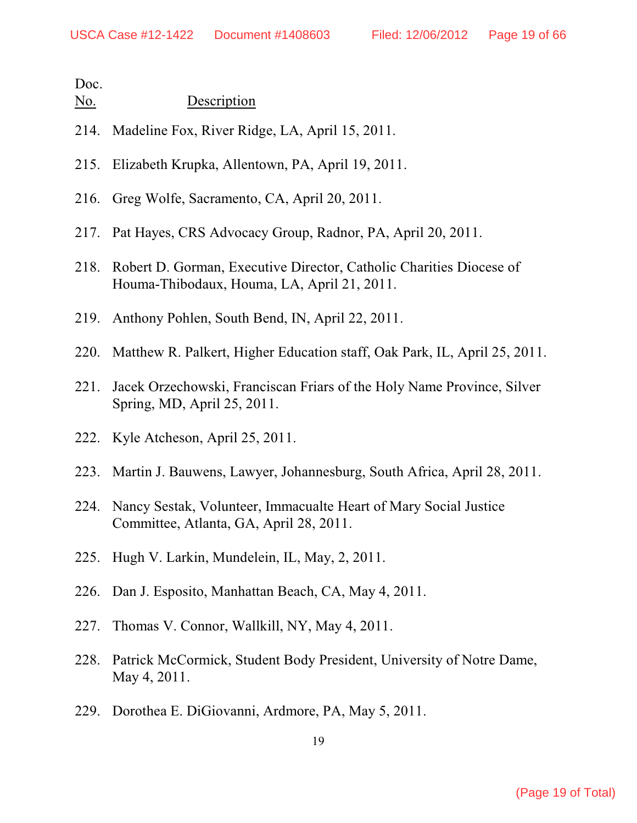| No. | Description |
|-----|-------------|
|     |             |

- 214. Madeline Fox, River Ridge, LA, April 15, 2011.
- 215. Elizabeth Krupka, Allentown, PA, April 19, 2011.
- 216. Greg Wolfe, Sacramento, CA, April 20, 2011.
- 217. Pat Hayes, CRS Advocacy Group, Radnor, PA, April 20, 2011.
- 218. Robert D. Gorman, Executive Director, Catholic Charities Diocese of Houma-Thibodaux, Houma, LA, April 21, 2011.
- 219. Anthony Pohlen, South Bend, IN, April 22, 2011.
- 220. Matthew R. Palkert, Higher Education staff, Oak Park, IL, April 25, 2011.
- 221. Jacek Orzechowski, Franciscan Friars of the Holy Name Province, Silver Spring, MD, April 25, 2011.
- 222. Kyle Atcheson, April 25, 2011.
- 223. Martin J. Bauwens, Lawyer, Johannesburg, South Africa, April 28, 2011.
- 224. Nancy Sestak, Volunteer, Immacualte Heart of Mary Social Justice Committee, Atlanta, GA, April 28, 2011.
- 225. Hugh V. Larkin, Mundelein, IL, May, 2, 2011.
- 226. Dan J. Esposito, Manhattan Beach, CA, May 4, 2011.
- 227. Thomas V. Connor, Wallkill, NY, May 4, 2011.
- 228. Patrick McCormick, Student Body President, University of Notre Dame, May 4, 2011.
- 229. Dorothea E. DiGiovanni, Ardmore, PA, May 5, 2011.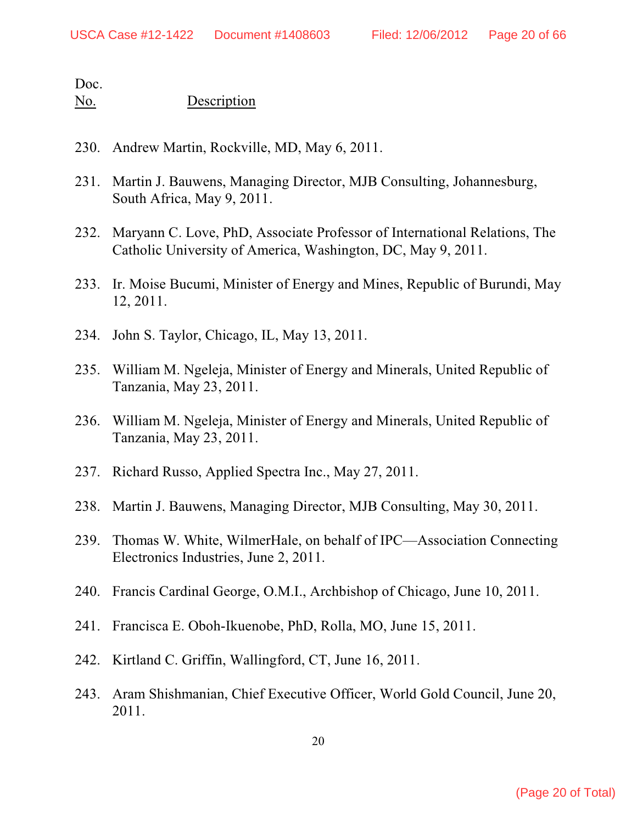- 230. Andrew Martin, Rockville, MD, May 6, 2011.
- 231. Martin J. Bauwens, Managing Director, MJB Consulting, Johannesburg, South Africa, May 9, 2011.
- 232. Maryann C. Love, PhD, Associate Professor of International Relations, The Catholic University of America, Washington, DC, May 9, 2011.
- 233. Ir. Moise Bucumi, Minister of Energy and Mines, Republic of Burundi, May 12, 2011.
- 234. John S. Taylor, Chicago, IL, May 13, 2011.
- 235. William M. Ngeleja, Minister of Energy and Minerals, United Republic of Tanzania, May 23, 2011.
- 236. William M. Ngeleja, Minister of Energy and Minerals, United Republic of Tanzania, May 23, 2011.
- 237. Richard Russo, Applied Spectra Inc., May 27, 2011.
- 238. Martin J. Bauwens, Managing Director, MJB Consulting, May 30, 2011.
- 239. Thomas W. White, WilmerHale, on behalf of IPC—Association Connecting Electronics Industries, June 2, 2011.
- 240. Francis Cardinal George, O.M.I., Archbishop of Chicago, June 10, 2011.
- 241. Francisca E. Oboh-Ikuenobe, PhD, Rolla, MO, June 15, 2011.
- 242. Kirtland C. Griffin, Wallingford, CT, June 16, 2011.
- 243. Aram Shishmanian, Chief Executive Officer, World Gold Council, June 20, 2011.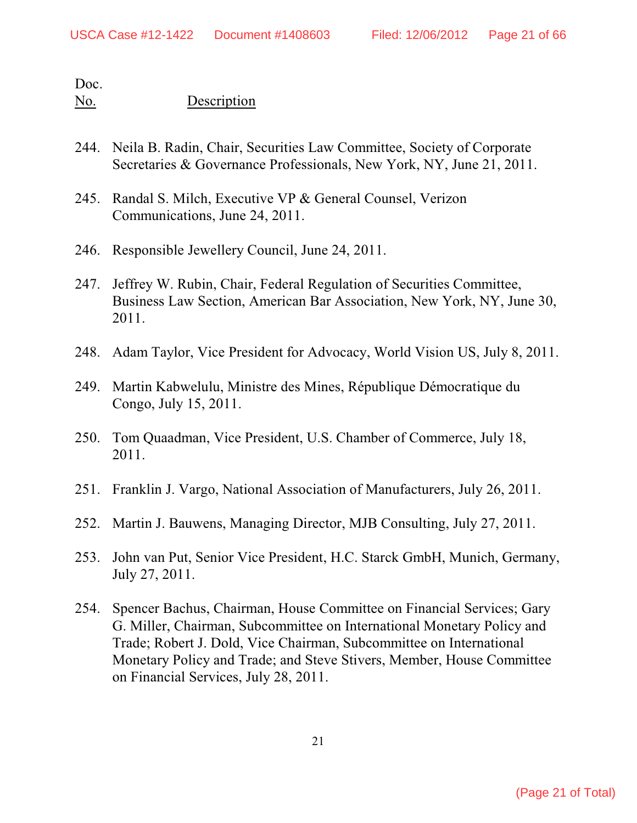- 244. Neila B. Radin, Chair, Securities Law Committee, Society of Corporate Secretaries & Governance Professionals, New York, NY, June 21, 2011.
- 245. Randal S. Milch, Executive VP & General Counsel, Verizon Communications, June 24, 2011.
- 246. Responsible Jewellery Council, June 24, 2011.
- 247. Jeffrey W. Rubin, Chair, Federal Regulation of Securities Committee, Business Law Section, American Bar Association, New York, NY, June 30, 2011.
- 248. Adam Taylor, Vice President for Advocacy, World Vision US, July 8, 2011.
- 249. Martin Kabwelulu, Ministre des Mines, République Démocratique du Congo, July 15, 2011.
- 250. Tom Quaadman, Vice President, U.S. Chamber of Commerce, July 18, 2011.
- 251. Franklin J. Vargo, National Association of Manufacturers, July 26, 2011.
- 252. Martin J. Bauwens, Managing Director, MJB Consulting, July 27, 2011.
- 253. John van Put, Senior Vice President, H.C. Starck GmbH, Munich, Germany, July 27, 2011.
- 254. Spencer Bachus, Chairman, House Committee on Financial Services; Gary G. Miller, Chairman, Subcommittee on International Monetary Policy and Trade; Robert J. Dold, Vice Chairman, Subcommittee on International Monetary Policy and Trade; and Steve Stivers, Member, House Committee on Financial Services, July 28, 2011.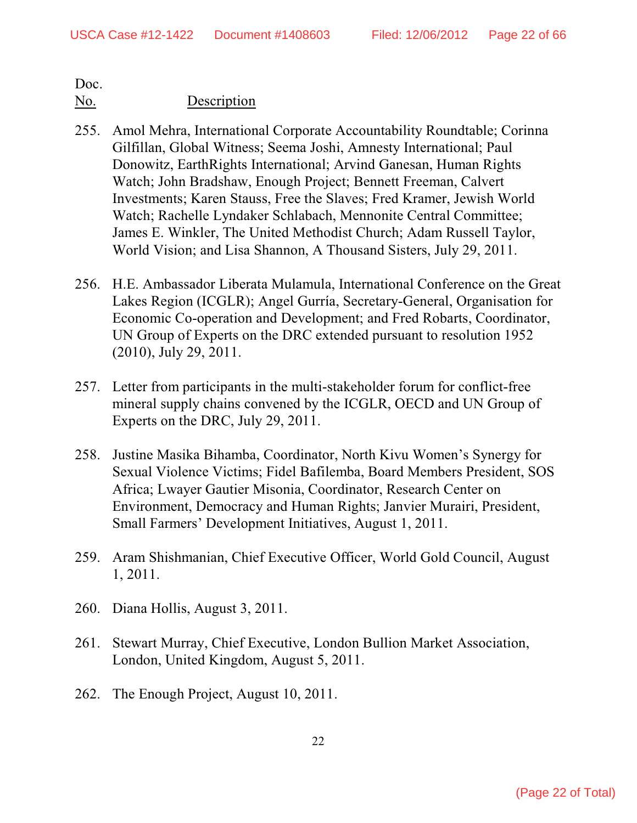- 255. Amol Mehra, International Corporate Accountability Roundtable; Corinna Gilfillan, Global Witness; Seema Joshi, Amnesty International; Paul Donowitz, EarthRights International; Arvind Ganesan, Human Rights Watch; John Bradshaw, Enough Project; Bennett Freeman, Calvert Investments; Karen Stauss, Free the Slaves; Fred Kramer, Jewish World Watch; Rachelle Lyndaker Schlabach, Mennonite Central Committee; James E. Winkler, The United Methodist Church; Adam Russell Taylor, World Vision; and Lisa Shannon, A Thousand Sisters, July 29, 2011.
- 256. H.E. Ambassador Liberata Mulamula, International Conference on the Great Lakes Region (ICGLR); Angel Gurría, Secretary-General, Organisation for Economic Co-operation and Development; and Fred Robarts, Coordinator, UN Group of Experts on the DRC extended pursuant to resolution 1952 (2010), July 29, 2011.
- 257. Letter from participants in the multi-stakeholder forum for conflict-free mineral supply chains convened by the ICGLR, OECD and UN Group of Experts on the DRC, July 29, 2011.
- 258. Justine Masika Bihamba, Coordinator, North Kivu Women's Synergy for Sexual Violence Victims; Fidel Bafilemba, Board Members President, SOS Africa; Lwayer Gautier Misonia, Coordinator, Research Center on Environment, Democracy and Human Rights; Janvier Murairi, President, Small Farmers' Development Initiatives, August 1, 2011.
- 259. Aram Shishmanian, Chief Executive Officer, World Gold Council, August 1, 2011.
- 260. Diana Hollis, August 3, 2011.
- 261. Stewart Murray, Chief Executive, London Bullion Market Association, London, United Kingdom, August 5, 2011.
- 262. The Enough Project, August 10, 2011.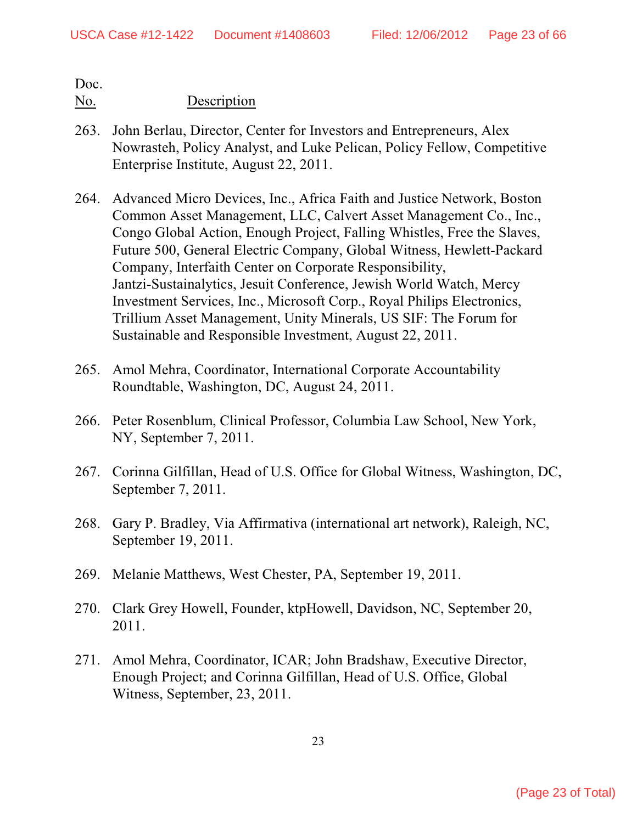- 263. John Berlau, Director, Center for Investors and Entrepreneurs, Alex Nowrasteh, Policy Analyst, and Luke Pelican, Policy Fellow, Competitive Enterprise Institute, August 22, 2011.
- 264. Advanced Micro Devices, Inc., Africa Faith and Justice Network, Boston Common Asset Management, LLC, Calvert Asset Management Co., Inc., Congo Global Action, Enough Project, Falling Whistles, Free the Slaves, Future 500, General Electric Company, Global Witness, Hewlett-Packard Company, Interfaith Center on Corporate Responsibility, Jantzi-Sustainalytics, Jesuit Conference, Jewish World Watch, Mercy Investment Services, Inc., Microsoft Corp., Royal Philips Electronics, Trillium Asset Management, Unity Minerals, US SIF: The Forum for Sustainable and Responsible Investment, August 22, 2011.
- 265. Amol Mehra, Coordinator, International Corporate Accountability Roundtable, Washington, DC, August 24, 2011.
- 266. Peter Rosenblum, Clinical Professor, Columbia Law School, New York, NY, September 7, 2011.
- 267. Corinna Gilfillan, Head of U.S. Office for Global Witness, Washington, DC, September 7, 2011.
- 268. Gary P. Bradley, Via Affirmativa (international art network), Raleigh, NC, September 19, 2011.
- 269. Melanie Matthews, West Chester, PA, September 19, 2011.
- 270. Clark Grey Howell, Founder, ktpHowell, Davidson, NC, September 20, 2011.
- 271. Amol Mehra, Coordinator, ICAR; John Bradshaw, Executive Director, Enough Project; and Corinna Gilfillan, Head of U.S. Office, Global Witness, September, 23, 2011.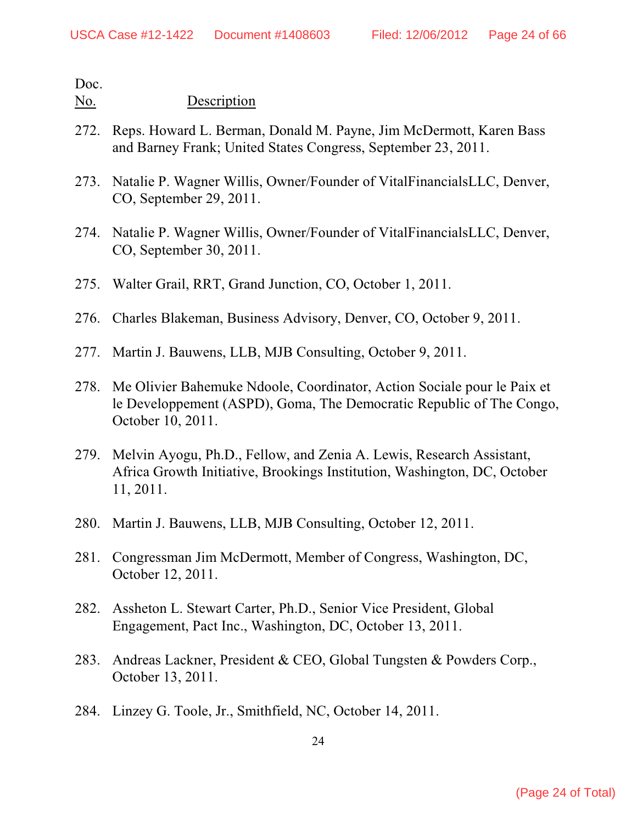- 272. Reps. Howard L. Berman, Donald M. Payne, Jim McDermott, Karen Bass and Barney Frank; United States Congress, September 23, 2011.
- 273. Natalie P. Wagner Willis, Owner/Founder of VitalFinancialsLLC, Denver, CO, September 29, 2011.
- 274. Natalie P. Wagner Willis, Owner/Founder of VitalFinancialsLLC, Denver, CO, September 30, 2011.
- 275. Walter Grail, RRT, Grand Junction, CO, October 1, 2011.
- 276. Charles Blakeman, Business Advisory, Denver, CO, October 9, 2011.
- 277. Martin J. Bauwens, LLB, MJB Consulting, October 9, 2011.
- 278. Me Olivier Bahemuke Ndoole, Coordinator, Action Sociale pour le Paix et le Developpement (ASPD), Goma, The Democratic Republic of The Congo, October 10, 2011.
- 279. Melvin Ayogu, Ph.D., Fellow, and Zenia A. Lewis, Research Assistant, Africa Growth Initiative, Brookings Institution, Washington, DC, October 11, 2011.
- 280. Martin J. Bauwens, LLB, MJB Consulting, October 12, 2011.
- 281. Congressman Jim McDermott, Member of Congress, Washington, DC, October 12, 2011.
- 282. Assheton L. Stewart Carter, Ph.D., Senior Vice President, Global Engagement, Pact Inc., Washington, DC, October 13, 2011.
- 283. Andreas Lackner, President & CEO, Global Tungsten & Powders Corp., October 13, 2011.
- 284. Linzey G. Toole, Jr., Smithfield, NC, October 14, 2011.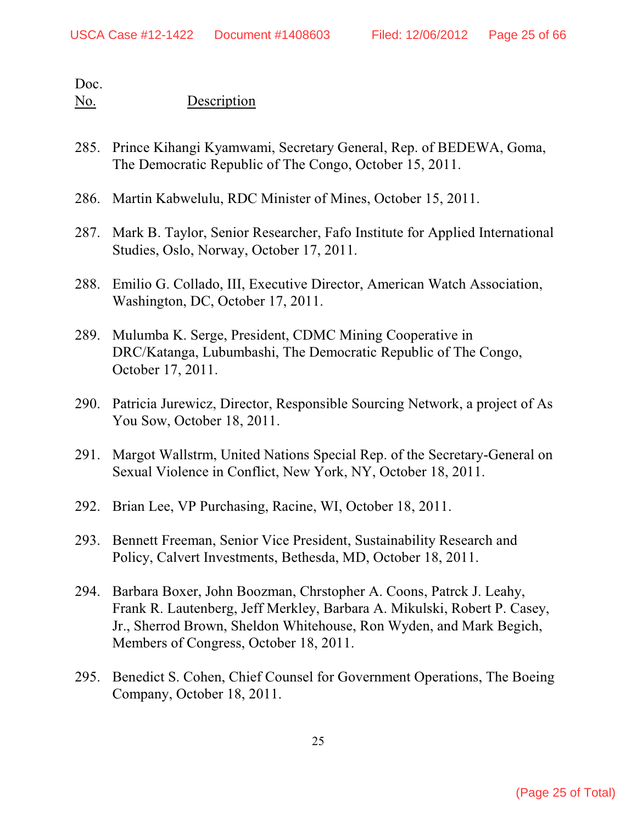- 285. Prince Kihangi Kyamwami, Secretary General, Rep. of BEDEWA, Goma, The Democratic Republic of The Congo, October 15, 2011.
- 286. Martin Kabwelulu, RDC Minister of Mines, October 15, 2011.
- 287. Mark B. Taylor, Senior Researcher, Fafo Institute for Applied International Studies, Oslo, Norway, October 17, 2011.
- 288. Emilio G. Collado, III, Executive Director, American Watch Association, Washington, DC, October 17, 2011.
- 289. Mulumba K. Serge, President, CDMC Mining Cooperative in DRC/Katanga, Lubumbashi, The Democratic Republic of The Congo, October 17, 2011.
- 290. Patricia Jurewicz, Director, Responsible Sourcing Network, a project of As You Sow, October 18, 2011.
- 291. Margot Wallstrm, United Nations Special Rep. of the Secretary-General on Sexual Violence in Conflict, New York, NY, October 18, 2011.
- 292. Brian Lee, VP Purchasing, Racine, WI, October 18, 2011.
- 293. Bennett Freeman, Senior Vice President, Sustainability Research and Policy, Calvert Investments, Bethesda, MD, October 18, 2011.
- 294. Barbara Boxer, John Boozman, Chrstopher A. Coons, Patrck J. Leahy, Frank R. Lautenberg, Jeff Merkley, Barbara A. Mikulski, Robert P. Casey, Jr., Sherrod Brown, Sheldon Whitehouse, Ron Wyden, and Mark Begich, Members of Congress, October 18, 2011.
- 295. Benedict S. Cohen, Chief Counsel for Government Operations, The Boeing Company, October 18, 2011.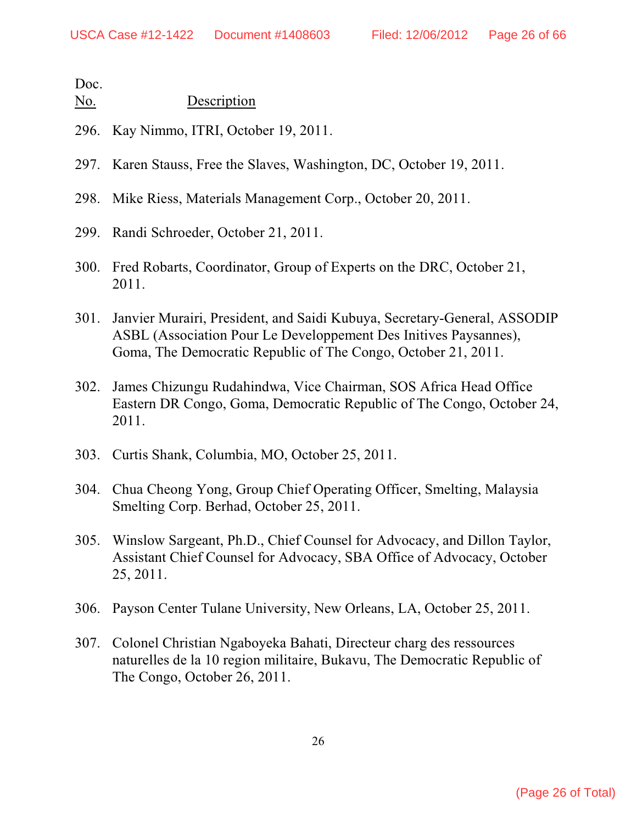- 296. Kay Nimmo, ITRI, October 19, 2011.
- 297. Karen Stauss, Free the Slaves, Washington, DC, October 19, 2011.
- 298. Mike Riess, Materials Management Corp., October 20, 2011.
- 299. Randi Schroeder, October 21, 2011.
- 300. Fred Robarts, Coordinator, Group of Experts on the DRC, October 21, 2011.
- 301. Janvier Murairi, President, and Saidi Kubuya, Secretary-General, ASSODIP ASBL (Association Pour Le Developpement Des Initives Paysannes), Goma, The Democratic Republic of The Congo, October 21, 2011.
- 302. James Chizungu Rudahindwa, Vice Chairman, SOS Africa Head Office Eastern DR Congo, Goma, Democratic Republic of The Congo, October 24, 2011.
- 303. Curtis Shank, Columbia, MO, October 25, 2011.
- 304. Chua Cheong Yong, Group Chief Operating Officer, Smelting, Malaysia Smelting Corp. Berhad, October 25, 2011.
- 305. Winslow Sargeant, Ph.D., Chief Counsel for Advocacy, and Dillon Taylor, Assistant Chief Counsel for Advocacy, SBA Office of Advocacy, October 25, 2011.
- 306. Payson Center Tulane University, New Orleans, LA, October 25, 2011.
- 307. Colonel Christian Ngaboyeka Bahati, Directeur charg des ressources naturelles de la 10 region militaire, Bukavu, The Democratic Republic of The Congo, October 26, 2011.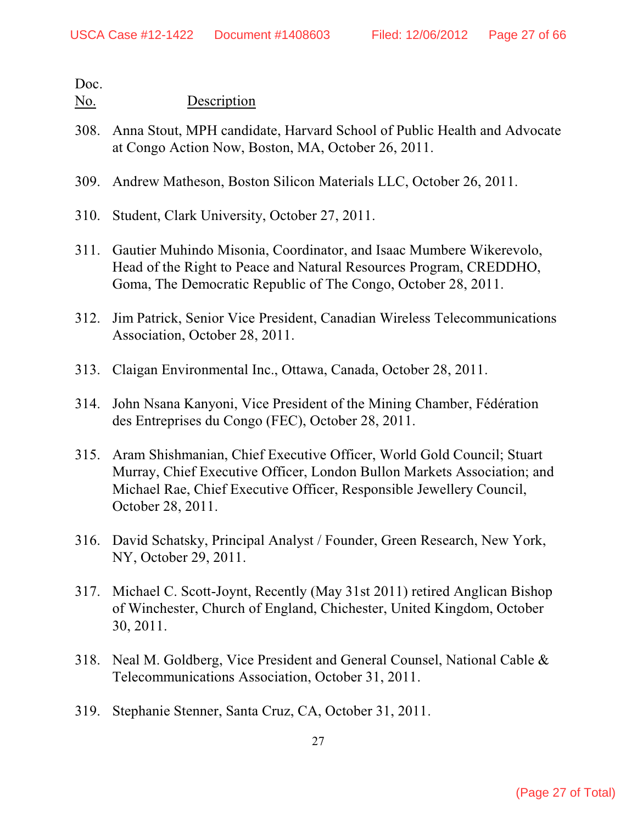- 308. Anna Stout, MPH candidate, Harvard School of Public Health and Advocate at Congo Action Now, Boston, MA, October 26, 2011.
- 309. Andrew Matheson, Boston Silicon Materials LLC, October 26, 2011.
- 310. Student, Clark University, October 27, 2011.
- 311. Gautier Muhindo Misonia, Coordinator, and Isaac Mumbere Wikerevolo, Head of the Right to Peace and Natural Resources Program, CREDDHO, Goma, The Democratic Republic of The Congo, October 28, 2011.
- 312. Jim Patrick, Senior Vice President, Canadian Wireless Telecommunications Association, October 28, 2011.
- 313. Claigan Environmental Inc., Ottawa, Canada, October 28, 2011.
- 314. John Nsana Kanyoni, Vice President of the Mining Chamber, Fédération des Entreprises du Congo (FEC), October 28, 2011.
- 315. Aram Shishmanian, Chief Executive Officer, World Gold Council; Stuart Murray, Chief Executive Officer, London Bullon Markets Association; and Michael Rae, Chief Executive Officer, Responsible Jewellery Council, October 28, 2011.
- 316. David Schatsky, Principal Analyst / Founder, Green Research, New York, NY, October 29, 2011.
- 317. Michael C. Scott-Joynt, Recently (May 31st 2011) retired Anglican Bishop of Winchester, Church of England, Chichester, United Kingdom, October 30, 2011.
- 318. Neal M. Goldberg, Vice President and General Counsel, National Cable & Telecommunications Association, October 31, 2011.
- 319. Stephanie Stenner, Santa Cruz, CA, October 31, 2011.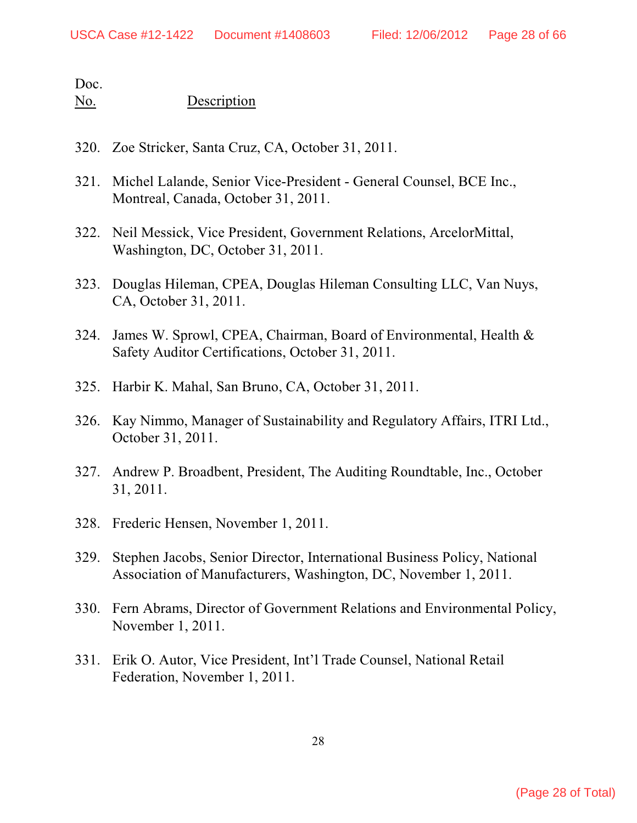- 320. Zoe Stricker, Santa Cruz, CA, October 31, 2011.
- 321. Michel Lalande, Senior Vice-President General Counsel, BCE Inc., Montreal, Canada, October 31, 2011.
- 322. Neil Messick, Vice President, Government Relations, ArcelorMittal, Washington, DC, October 31, 2011.
- 323. Douglas Hileman, CPEA, Douglas Hileman Consulting LLC, Van Nuys, CA, October 31, 2011.
- 324. James W. Sprowl, CPEA, Chairman, Board of Environmental, Health & Safety Auditor Certifications, October 31, 2011.
- 325. Harbir K. Mahal, San Bruno, CA, October 31, 2011.
- 326. Kay Nimmo, Manager of Sustainability and Regulatory Affairs, ITRI Ltd., October 31, 2011.
- 327. Andrew P. Broadbent, President, The Auditing Roundtable, Inc., October 31, 2011.
- 328. Frederic Hensen, November 1, 2011.
- 329. Stephen Jacobs, Senior Director, International Business Policy, National Association of Manufacturers, Washington, DC, November 1, 2011.
- 330. Fern Abrams, Director of Government Relations and Environmental Policy, November 1, 2011.
- 331. Erik O. Autor, Vice President, Int'l Trade Counsel, National Retail Federation, November 1, 2011.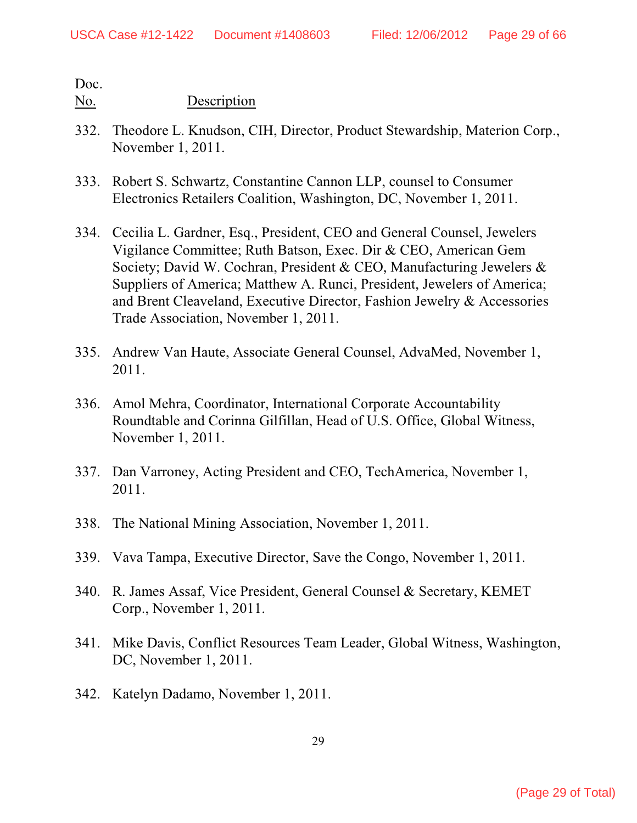- 332. Theodore L. Knudson, CIH, Director, Product Stewardship, Materion Corp., November 1, 2011.
- 333. Robert S. Schwartz, Constantine Cannon LLP, counsel to Consumer Electronics Retailers Coalition, Washington, DC, November 1, 2011.
- 334. Cecilia L. Gardner, Esq., President, CEO and General Counsel, Jewelers Vigilance Committee; Ruth Batson, Exec. Dir & CEO, American Gem Society; David W. Cochran, President & CEO, Manufacturing Jewelers & Suppliers of America; Matthew A. Runci, President, Jewelers of America; and Brent Cleaveland, Executive Director, Fashion Jewelry & Accessories Trade Association, November 1, 2011.
- 335. Andrew Van Haute, Associate General Counsel, AdvaMed, November 1, 2011.
- 336. Amol Mehra, Coordinator, International Corporate Accountability Roundtable and Corinna Gilfillan, Head of U.S. Office, Global Witness, November 1, 2011.
- 337. Dan Varroney, Acting President and CEO, TechAmerica, November 1, 2011.
- 338. The National Mining Association, November 1, 2011.
- 339. Vava Tampa, Executive Director, Save the Congo, November 1, 2011.
- 340. R. James Assaf, Vice President, General Counsel & Secretary, KEMET Corp., November 1, 2011.
- 341. Mike Davis, Conflict Resources Team Leader, Global Witness, Washington, DC, November 1, 2011.
- 342. Katelyn Dadamo, November 1, 2011.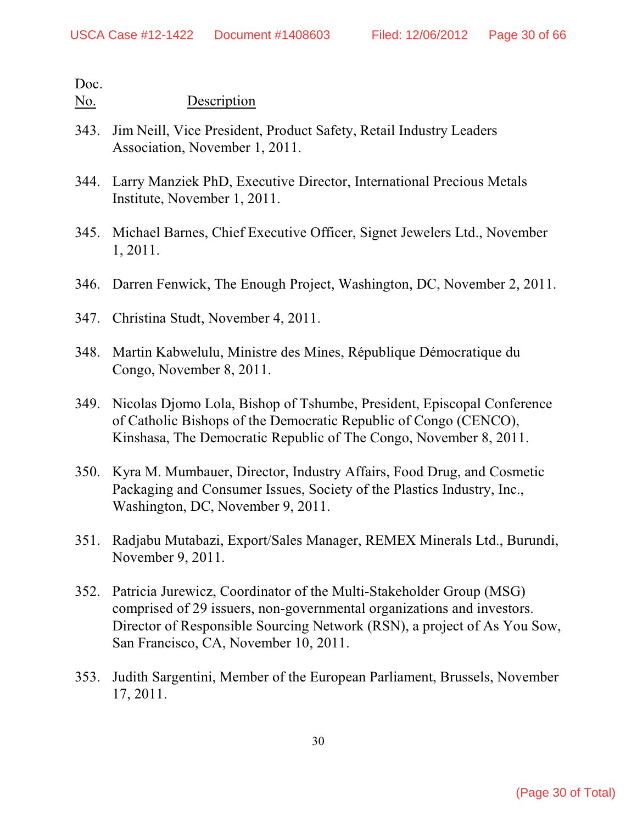- 343. Jim Neill, Vice President, Product Safety, Retail Industry Leaders Association, November 1, 2011.
- 344. Larry Manziek PhD, Executive Director, International Precious Metals Institute, November 1, 2011.
- 345. Michael Barnes, Chief Executive Officer, Signet Jewelers Ltd., November 1, 2011.
- 346. Darren Fenwick, The Enough Project, Washington, DC, November 2, 2011.
- 347. Christina Studt, November 4, 2011.
- 348. Martin Kabwelulu, Ministre des Mines, République Démocratique du Congo, November 8, 2011.
- 349. Nicolas Djomo Lola, Bishop of Tshumbe, President, Episcopal Conference of Catholic Bishops of the Democratic Republic of Congo (CENCO), Kinshasa, The Democratic Republic of The Congo, November 8, 2011.
- 350. Kyra M. Mumbauer, Director, Industry Affairs, Food Drug, and Cosmetic Packaging and Consumer Issues, Society of the Plastics Industry, Inc., Washington, DC, November 9, 2011.
- 351. Radjabu Mutabazi, Export/Sales Manager, REMEX Minerals Ltd., Burundi, November 9, 2011.
- 352. Patricia Jurewicz, Coordinator of the Multi-Stakeholder Group (MSG) comprised of 29 issuers, non-governmental organizations and investors. Director of Responsible Sourcing Network (RSN), a project of As You Sow, San Francisco, CA, November 10, 2011.
- 353. Judith Sargentini, Member of the European Parliament, Brussels, November 17, 2011.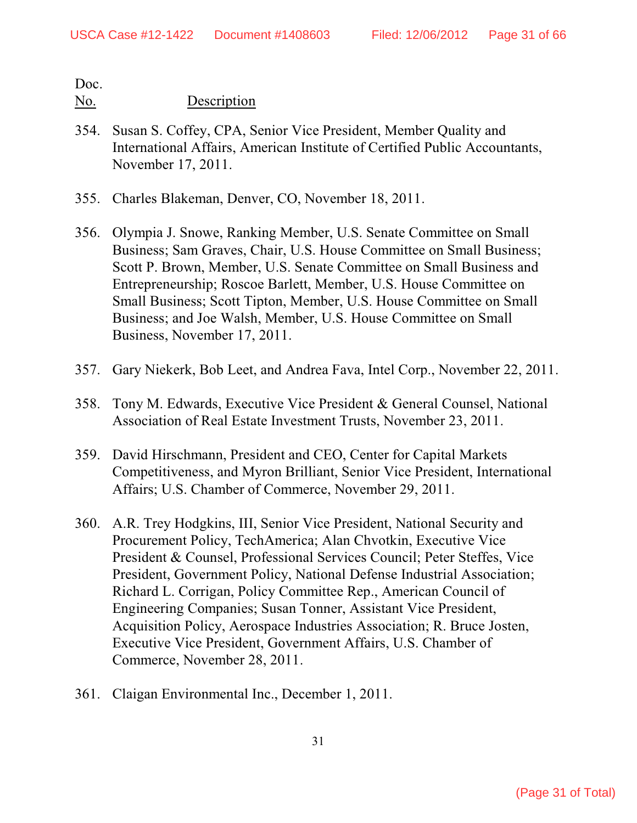- 354. Susan S. Coffey, CPA, Senior Vice President, Member Quality and International Affairs, American Institute of Certified Public Accountants, November 17, 2011.
- 355. Charles Blakeman, Denver, CO, November 18, 2011.
- 356. Olympia J. Snowe, Ranking Member, U.S. Senate Committee on Small Business; Sam Graves, Chair, U.S. House Committee on Small Business; Scott P. Brown, Member, U.S. Senate Committee on Small Business and Entrepreneurship; Roscoe Barlett, Member, U.S. House Committee on Small Business; Scott Tipton, Member, U.S. House Committee on Small Business; and Joe Walsh, Member, U.S. House Committee on Small Business, November 17, 2011.
- 357. Gary Niekerk, Bob Leet, and Andrea Fava, Intel Corp., November 22, 2011.
- 358. Tony M. Edwards, Executive Vice President & General Counsel, National Association of Real Estate Investment Trusts, November 23, 2011.
- 359. David Hirschmann, President and CEO, Center for Capital Markets Competitiveness, and Myron Brilliant, Senior Vice President, International Affairs; U.S. Chamber of Commerce, November 29, 2011.
- 360. A.R. Trey Hodgkins, III, Senior Vice President, National Security and Procurement Policy, TechAmerica; Alan Chvotkin, Executive Vice President & Counsel, Professional Services Council; Peter Steffes, Vice President, Government Policy, National Defense Industrial Association; Richard L. Corrigan, Policy Committee Rep., American Council of Engineering Companies; Susan Tonner, Assistant Vice President, Acquisition Policy, Aerospace Industries Association; R. Bruce Josten, Executive Vice President, Government Affairs, U.S. Chamber of Commerce, November 28, 2011.
- 361. Claigan Environmental Inc., December 1, 2011.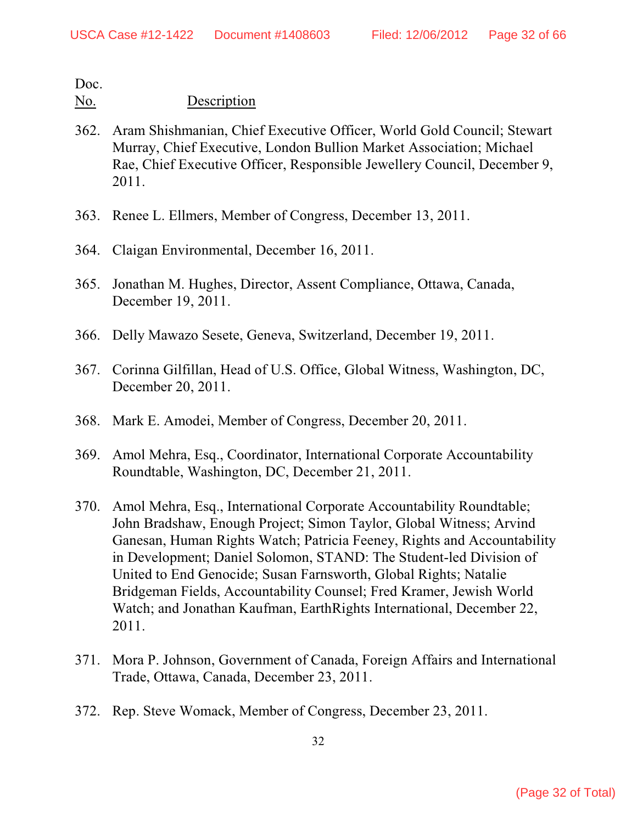- 362. Aram Shishmanian, Chief Executive Officer, World Gold Council; Stewart Murray, Chief Executive, London Bullion Market Association; Michael Rae, Chief Executive Officer, Responsible Jewellery Council, December 9, 2011.
- 363. Renee L. Ellmers, Member of Congress, December 13, 2011.
- 364. Claigan Environmental, December 16, 2011.
- 365. Jonathan M. Hughes, Director, Assent Compliance, Ottawa, Canada, December 19, 2011.
- 366. Delly Mawazo Sesete, Geneva, Switzerland, December 19, 2011.
- 367. Corinna Gilfillan, Head of U.S. Office, Global Witness, Washington, DC, December 20, 2011.
- 368. Mark E. Amodei, Member of Congress, December 20, 2011.
- 369. Amol Mehra, Esq., Coordinator, International Corporate Accountability Roundtable, Washington, DC, December 21, 2011.
- 370. Amol Mehra, Esq., International Corporate Accountability Roundtable; John Bradshaw, Enough Project; Simon Taylor, Global Witness; Arvind Ganesan, Human Rights Watch; Patricia Feeney, Rights and Accountability in Development; Daniel Solomon, STAND: The Student-led Division of United to End Genocide; Susan Farnsworth, Global Rights; Natalie Bridgeman Fields, Accountability Counsel; Fred Kramer, Jewish World Watch; and Jonathan Kaufman, EarthRights International, December 22, 2011.
- 371. Mora P. Johnson, Government of Canada, Foreign Affairs and International Trade, Ottawa, Canada, December 23, 2011.
- 372. Rep. Steve Womack, Member of Congress, December 23, 2011.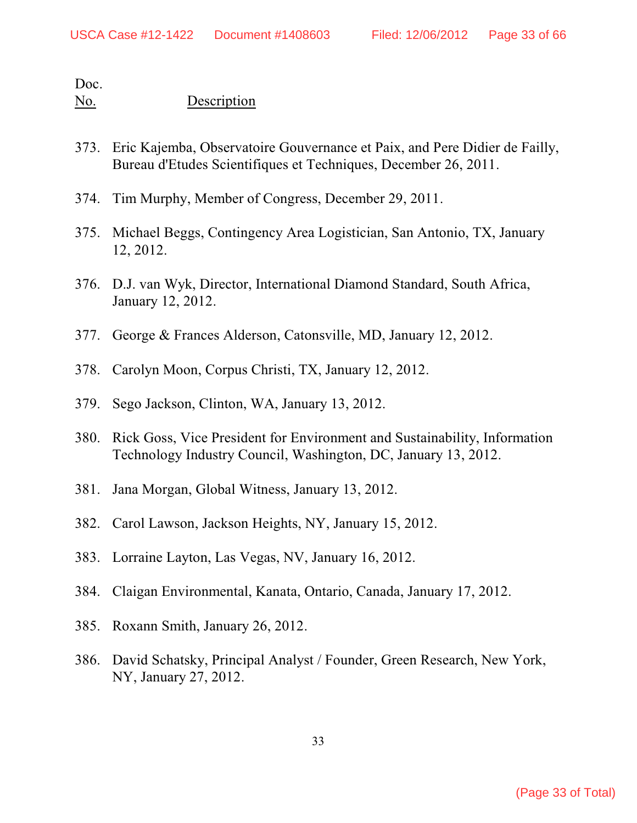- 373. Eric Kajemba, Observatoire Gouvernance et Paix, and Pere Didier de Failly, Bureau d'Etudes Scientifiques et Techniques, December 26, 2011.
- 374. Tim Murphy, Member of Congress, December 29, 2011.
- 375. Michael Beggs, Contingency Area Logistician, San Antonio, TX, January 12, 2012.
- 376. D.J. van Wyk, Director, International Diamond Standard, South Africa, January 12, 2012.
- 377. George & Frances Alderson, Catonsville, MD, January 12, 2012.
- 378. Carolyn Moon, Corpus Christi, TX, January 12, 2012.
- 379. Sego Jackson, Clinton, WA, January 13, 2012.
- 380. Rick Goss, Vice President for Environment and Sustainability, Information Technology Industry Council, Washington, DC, January 13, 2012.
- 381. Jana Morgan, Global Witness, January 13, 2012.
- 382. Carol Lawson, Jackson Heights, NY, January 15, 2012.
- 383. Lorraine Layton, Las Vegas, NV, January 16, 2012.
- 384. Claigan Environmental, Kanata, Ontario, Canada, January 17, 2012.
- 385. Roxann Smith, January 26, 2012.
- 386. David Schatsky, Principal Analyst / Founder, Green Research, New York, NY, January 27, 2012.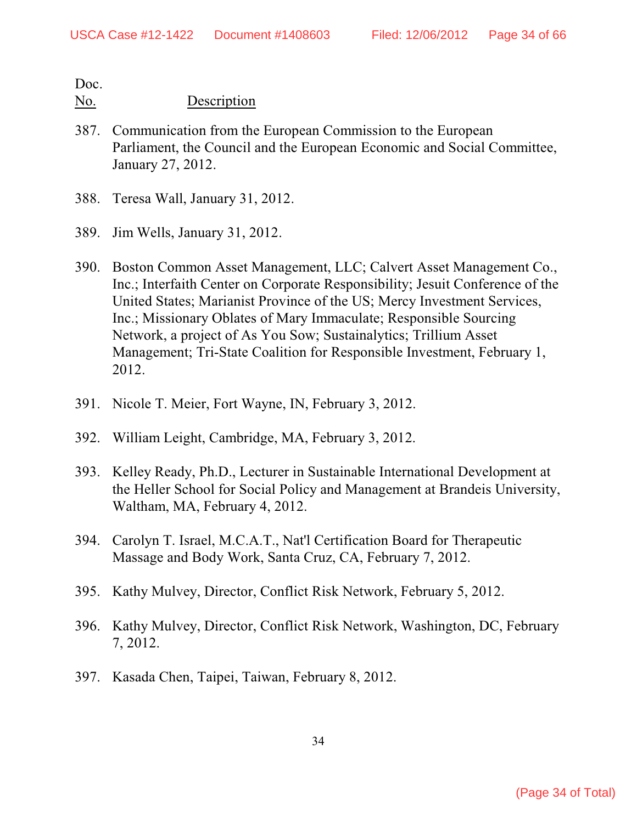- 387. Communication from the European Commission to the European Parliament, the Council and the European Economic and Social Committee, January 27, 2012.
- 388. Teresa Wall, January 31, 2012.
- 389. Jim Wells, January 31, 2012.
- 390. Boston Common Asset Management, LLC; Calvert Asset Management Co., Inc.; Interfaith Center on Corporate Responsibility; Jesuit Conference of the United States; Marianist Province of the US; Mercy Investment Services, Inc.; Missionary Oblates of Mary Immaculate; Responsible Sourcing Network, a project of As You Sow; Sustainalytics; Trillium Asset Management; Tri-State Coalition for Responsible Investment, February 1, 2012.
- 391. Nicole T. Meier, Fort Wayne, IN, February 3, 2012.
- 392. William Leight, Cambridge, MA, February 3, 2012.
- 393. Kelley Ready, Ph.D., Lecturer in Sustainable International Development at the Heller School for Social Policy and Management at Brandeis University, Waltham, MA, February 4, 2012.
- 394. Carolyn T. Israel, M.C.A.T., Nat'l Certification Board for Therapeutic Massage and Body Work, Santa Cruz, CA, February 7, 2012.
- 395. Kathy Mulvey, Director, Conflict Risk Network, February 5, 2012.
- 396. Kathy Mulvey, Director, Conflict Risk Network, Washington, DC, February 7, 2012.
- 397. Kasada Chen, Taipei, Taiwan, February 8, 2012.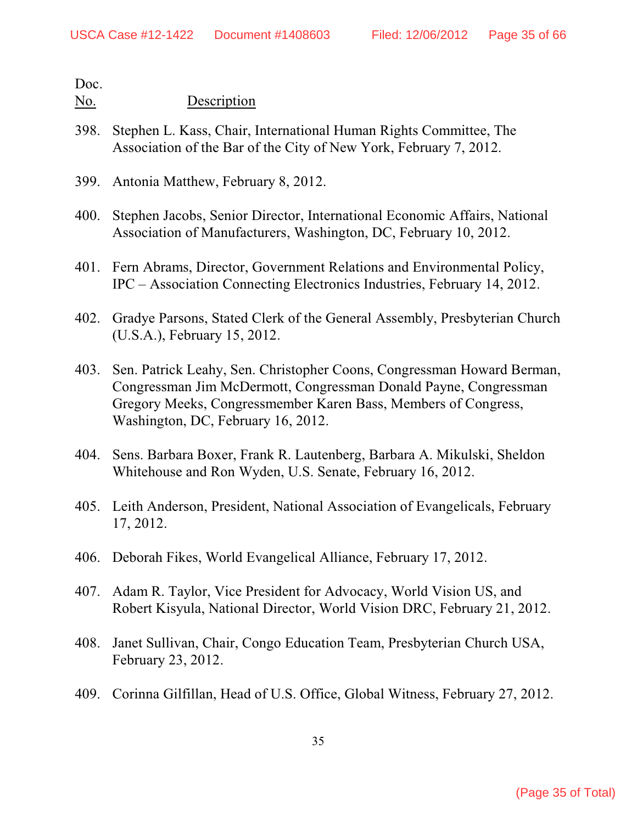- 398. Stephen L. Kass, Chair, International Human Rights Committee, The Association of the Bar of the City of New York, February 7, 2012.
- 399. Antonia Matthew, February 8, 2012.
- 400. Stephen Jacobs, Senior Director, International Economic Affairs, National Association of Manufacturers, Washington, DC, February 10, 2012.
- 401. Fern Abrams, Director, Government Relations and Environmental Policy, IPC – Association Connecting Electronics Industries, February 14, 2012.
- 402. Gradye Parsons, Stated Clerk of the General Assembly, Presbyterian Church (U.S.A.), February 15, 2012.
- 403. Sen. Patrick Leahy, Sen. Christopher Coons, Congressman Howard Berman, Congressman Jim McDermott, Congressman Donald Payne, Congressman Gregory Meeks, Congressmember Karen Bass, Members of Congress, Washington, DC, February 16, 2012.
- 404. Sens. Barbara Boxer, Frank R. Lautenberg, Barbara A. Mikulski, Sheldon Whitehouse and Ron Wyden, U.S. Senate, February 16, 2012.
- 405. Leith Anderson, President, National Association of Evangelicals, February 17, 2012.
- 406. Deborah Fikes, World Evangelical Alliance, February 17, 2012.
- 407. Adam R. Taylor, Vice President for Advocacy, World Vision US, and Robert Kisyula, National Director, World Vision DRC, February 21, 2012.
- 408. Janet Sullivan, Chair, Congo Education Team, Presbyterian Church USA, February 23, 2012.
- 409. Corinna Gilfillan, Head of U.S. Office, Global Witness, February 27, 2012.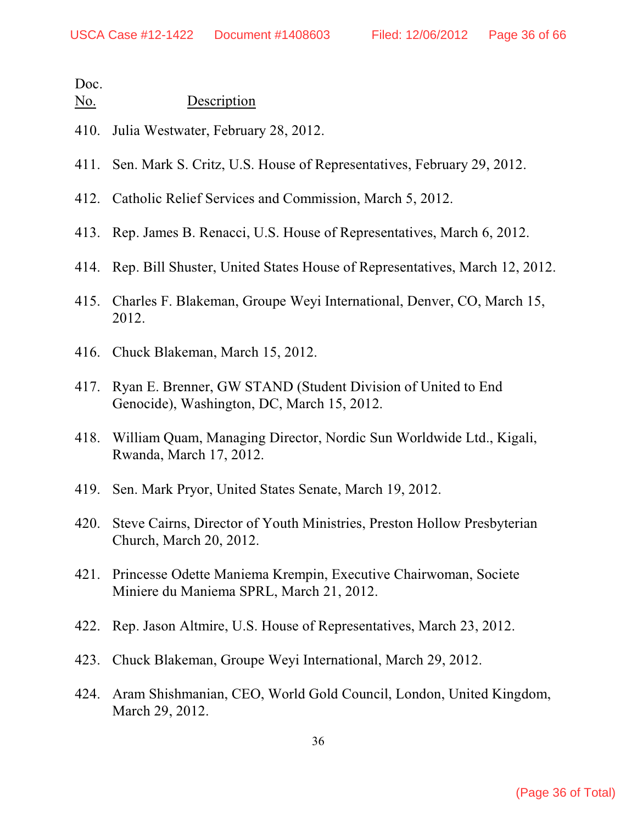| No. | Description |
|-----|-------------|
|     |             |

- 410. Julia Westwater, February 28, 2012.
- 411. Sen. Mark S. Critz, U.S. House of Representatives, February 29, 2012.
- 412. Catholic Relief Services and Commission, March 5, 2012.
- 413. Rep. James B. Renacci, U.S. House of Representatives, March 6, 2012.
- 414. Rep. Bill Shuster, United States House of Representatives, March 12, 2012.
- 415. Charles F. Blakeman, Groupe Weyi International, Denver, CO, March 15, 2012.
- 416. Chuck Blakeman, March 15, 2012.
- 417. Ryan E. Brenner, GW STAND (Student Division of United to End Genocide), Washington, DC, March 15, 2012.
- 418. William Quam, Managing Director, Nordic Sun Worldwide Ltd., Kigali, Rwanda, March 17, 2012.
- 419. Sen. Mark Pryor, United States Senate, March 19, 2012.
- 420. Steve Cairns, Director of Youth Ministries, Preston Hollow Presbyterian Church, March 20, 2012.
- 421. Princesse Odette Maniema Krempin, Executive Chairwoman, Societe Miniere du Maniema SPRL, March 21, 2012.
- 422. Rep. Jason Altmire, U.S. House of Representatives, March 23, 2012.
- 423. Chuck Blakeman, Groupe Weyi International, March 29, 2012.
- 424. Aram Shishmanian, CEO, World Gold Council, London, United Kingdom, March 29, 2012.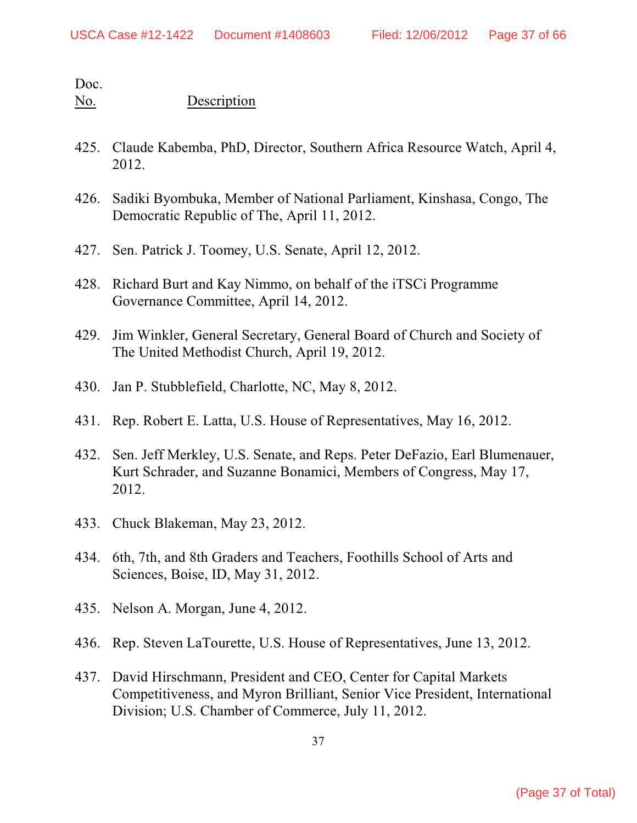- 425. Claude Kabemba, PhD, Director, Southern Africa Resource Watch, April 4, 2012.
- 426. Sadiki Byombuka, Member of National Parliament, Kinshasa, Congo, The Democratic Republic of The, April 11, 2012.
- 427. Sen. Patrick J. Toomey, U.S. Senate, April 12, 2012.
- 428. Richard Burt and Kay Nimmo, on behalf of the iTSCi Programme Governance Committee, April 14, 2012.
- 429. Jim Winkler, General Secretary, General Board of Church and Society of The United Methodist Church, April 19, 2012.
- 430. Jan P. Stubblefield, Charlotte, NC, May 8, 2012.
- 431. Rep. Robert E. Latta, U.S. House of Representatives, May 16, 2012.
- 432. Sen. Jeff Merkley, U.S. Senate, and Reps. Peter DeFazio, Earl Blumenauer, Kurt Schrader, and Suzanne Bonamici, Members of Congress, May 17, 2012.
- 433. Chuck Blakeman, May 23, 2012.
- 434. 6th, 7th, and 8th Graders and Teachers, Foothills School of Arts and Sciences, Boise, ID, May 31, 2012.
- 435. Nelson A. Morgan, June 4, 2012.
- 436. Rep. Steven LaTourette, U.S. House of Representatives, June 13, 2012.
- 437. David Hirschmann, President and CEO, Center for Capital Markets Competitiveness, and Myron Brilliant, Senior Vice President, International Division; U.S. Chamber of Commerce, July 11, 2012.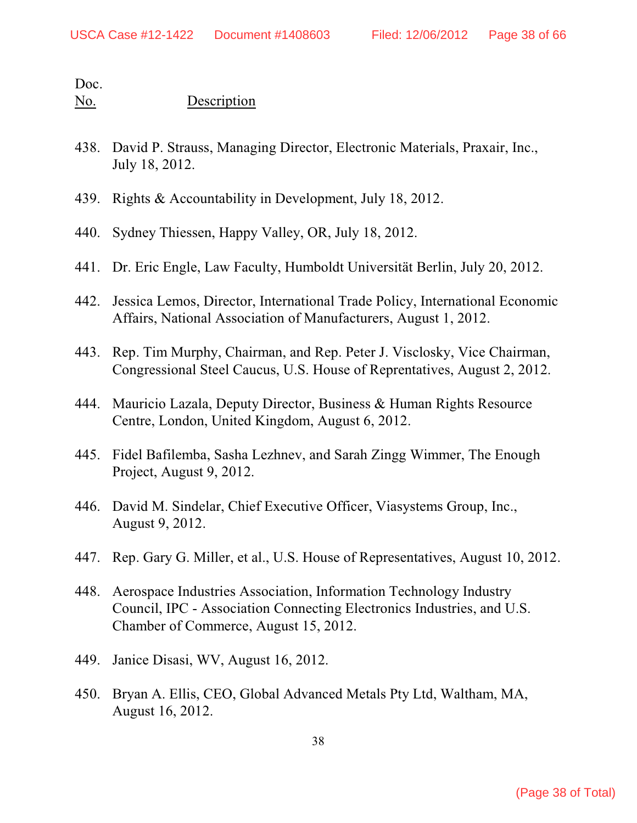- 438. David P. Strauss, Managing Director, Electronic Materials, Praxair, Inc., July 18, 2012.
- 439. Rights & Accountability in Development, July 18, 2012.
- 440. Sydney Thiessen, Happy Valley, OR, July 18, 2012.
- 441. Dr. Eric Engle, Law Faculty, Humboldt Universität Berlin, July 20, 2012.
- 442. Jessica Lemos, Director, International Trade Policy, International Economic Affairs, National Association of Manufacturers, August 1, 2012.
- 443. Rep. Tim Murphy, Chairman, and Rep. Peter J. Visclosky, Vice Chairman, Congressional Steel Caucus, U.S. House of Reprentatives, August 2, 2012.
- 444. Mauricio Lazala, Deputy Director, Business & Human Rights Resource Centre, London, United Kingdom, August 6, 2012.
- 445. Fidel Bafilemba, Sasha Lezhnev, and Sarah Zingg Wimmer, The Enough Project, August 9, 2012.
- 446. David M. Sindelar, Chief Executive Officer, Viasystems Group, Inc., August 9, 2012.
- 447. Rep. Gary G. Miller, et al., U.S. House of Representatives, August 10, 2012.
- 448. Aerospace Industries Association, Information Technology Industry Council, IPC - Association Connecting Electronics Industries, and U.S. Chamber of Commerce, August 15, 2012.
- 449. Janice Disasi, WV, August 16, 2012.
- 450. Bryan A. Ellis, CEO, Global Advanced Metals Pty Ltd, Waltham, MA, August 16, 2012.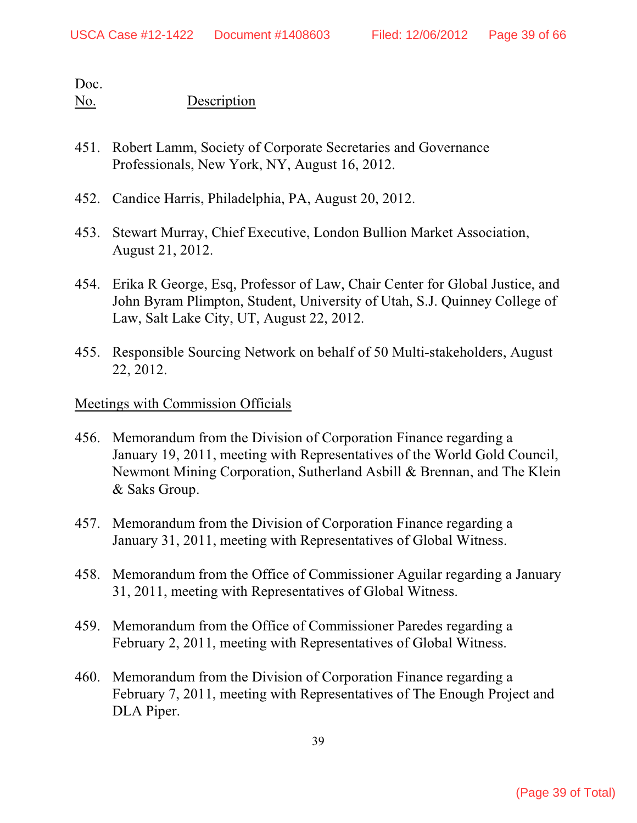### No. Description

- 451. Robert Lamm, Society of Corporate Secretaries and Governance Professionals, New York, NY, August 16, 2012.
- 452. Candice Harris, Philadelphia, PA, August 20, 2012.
- 453. Stewart Murray, Chief Executive, London Bullion Market Association, August 21, 2012.
- 454. Erika R George, Esq, Professor of Law, Chair Center for Global Justice, and John Byram Plimpton, Student, University of Utah, S.J. Quinney College of Law, Salt Lake City, UT, August 22, 2012.
- 455. Responsible Sourcing Network on behalf of 50 Multi-stakeholders, August 22, 2012.

### Meetings with Commission Officials

- 456. Memorandum from the Division of Corporation Finance regarding a January 19, 2011, meeting with Representatives of the World Gold Council, Newmont Mining Corporation, Sutherland Asbill & Brennan, and The Klein & Saks Group.
- 457. Memorandum from the Division of Corporation Finance regarding a January 31, 2011, meeting with Representatives of Global Witness.
- 458. Memorandum from the Office of Commissioner Aguilar regarding a January 31, 2011, meeting with Representatives of Global Witness.
- 459. Memorandum from the Office of Commissioner Paredes regarding a February 2, 2011, meeting with Representatives of Global Witness.
- 460. Memorandum from the Division of Corporation Finance regarding a February 7, 2011, meeting with Representatives of The Enough Project and DLA Piper.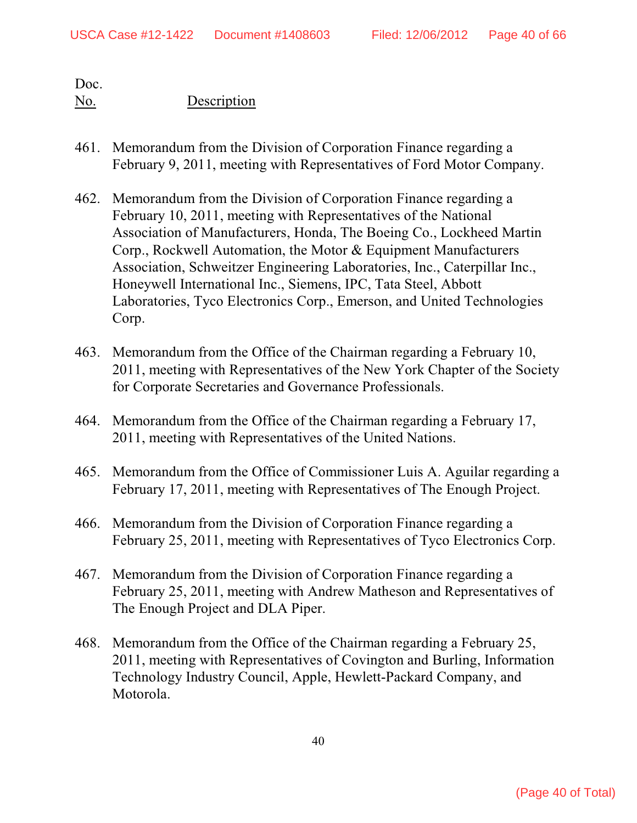- 461. Memorandum from the Division of Corporation Finance regarding a February 9, 2011, meeting with Representatives of Ford Motor Company.
- 462. Memorandum from the Division of Corporation Finance regarding a February 10, 2011, meeting with Representatives of the National Association of Manufacturers, Honda, The Boeing Co., Lockheed Martin Corp., Rockwell Automation, the Motor & Equipment Manufacturers Association, Schweitzer Engineering Laboratories, Inc., Caterpillar Inc., Honeywell International Inc., Siemens, IPC, Tata Steel, Abbott Laboratories, Tyco Electronics Corp., Emerson, and United Technologies Corp.
- 463. Memorandum from the Office of the Chairman regarding a February 10, 2011, meeting with Representatives of the New York Chapter of the Society for Corporate Secretaries and Governance Professionals.
- 464. Memorandum from the Office of the Chairman regarding a February 17, 2011, meeting with Representatives of the United Nations.
- 465. Memorandum from the Office of Commissioner Luis A. Aguilar regarding a February 17, 2011, meeting with Representatives of The Enough Project.
- 466. Memorandum from the Division of Corporation Finance regarding a February 25, 2011, meeting with Representatives of Tyco Electronics Corp.
- 467. Memorandum from the Division of Corporation Finance regarding a February 25, 2011, meeting with Andrew Matheson and Representatives of The Enough Project and DLA Piper.
- 468. Memorandum from the Office of the Chairman regarding a February 25, 2011, meeting with Representatives of Covington and Burling, Information Technology Industry Council, Apple, Hewlett-Packard Company, and Motorola.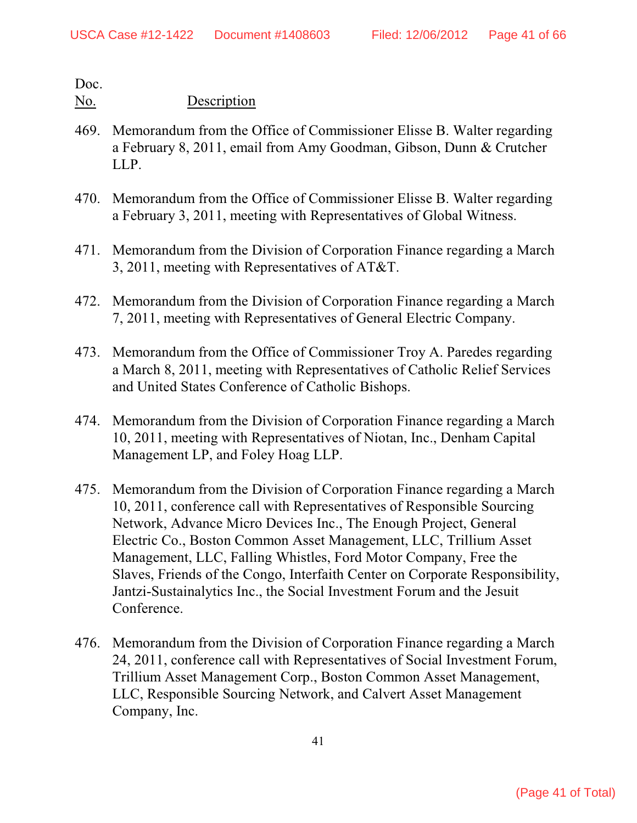- 469. Memorandum from the Office of Commissioner Elisse B. Walter regarding a February 8, 2011, email from Amy Goodman, Gibson, Dunn & Crutcher LLP.
- 470. Memorandum from the Office of Commissioner Elisse B. Walter regarding a February 3, 2011, meeting with Representatives of Global Witness.
- 471. Memorandum from the Division of Corporation Finance regarding a March 3, 2011, meeting with Representatives of AT&T.
- 472. Memorandum from the Division of Corporation Finance regarding a March 7, 2011, meeting with Representatives of General Electric Company.
- 473. Memorandum from the Office of Commissioner Troy A. Paredes regarding a March 8, 2011, meeting with Representatives of Catholic Relief Services and United States Conference of Catholic Bishops.
- 474. Memorandum from the Division of Corporation Finance regarding a March 10, 2011, meeting with Representatives of Niotan, Inc., Denham Capital Management LP, and Foley Hoag LLP.
- 475. Memorandum from the Division of Corporation Finance regarding a March 10, 2011, conference call with Representatives of Responsible Sourcing Network, Advance Micro Devices Inc., The Enough Project, General Electric Co., Boston Common Asset Management, LLC, Trillium Asset Management, LLC, Falling Whistles, Ford Motor Company, Free the Slaves, Friends of the Congo, Interfaith Center on Corporate Responsibility, Jantzi-Sustainalytics Inc., the Social Investment Forum and the Jesuit Conference.
- 476. Memorandum from the Division of Corporation Finance regarding a March 24, 2011, conference call with Representatives of Social Investment Forum, Trillium Asset Management Corp., Boston Common Asset Management, LLC, Responsible Sourcing Network, and Calvert Asset Management Company, Inc.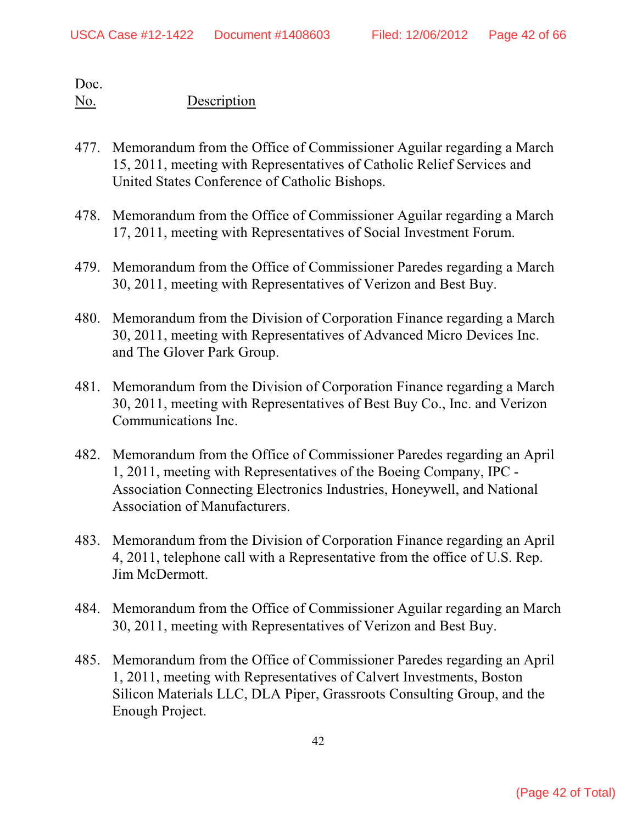- 477. Memorandum from the Office of Commissioner Aguilar regarding a March 15, 2011, meeting with Representatives of Catholic Relief Services and United States Conference of Catholic Bishops.
- 478. Memorandum from the Office of Commissioner Aguilar regarding a March 17, 2011, meeting with Representatives of Social Investment Forum.
- 479. Memorandum from the Office of Commissioner Paredes regarding a March 30, 2011, meeting with Representatives of Verizon and Best Buy.
- 480. Memorandum from the Division of Corporation Finance regarding a March 30, 2011, meeting with Representatives of Advanced Micro Devices Inc. and The Glover Park Group.
- 481. Memorandum from the Division of Corporation Finance regarding a March 30, 2011, meeting with Representatives of Best Buy Co., Inc. and Verizon Communications Inc.
- 482. Memorandum from the Office of Commissioner Paredes regarding an April 1, 2011, meeting with Representatives of the Boeing Company, IPC - Association Connecting Electronics Industries, Honeywell, and National Association of Manufacturers.
- 483. Memorandum from the Division of Corporation Finance regarding an April 4, 2011, telephone call with a Representative from the office of U.S. Rep. Jim McDermott.
- 484. Memorandum from the Office of Commissioner Aguilar regarding an March 30, 2011, meeting with Representatives of Verizon and Best Buy.
- 485. Memorandum from the Office of Commissioner Paredes regarding an April 1, 2011, meeting with Representatives of Calvert Investments, Boston Silicon Materials LLC, DLA Piper, Grassroots Consulting Group, and the Enough Project.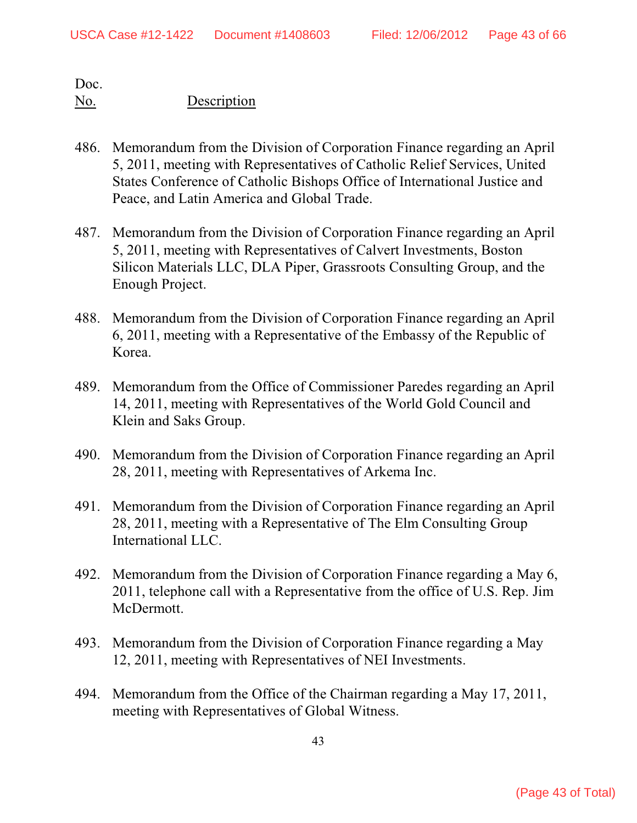- 486. Memorandum from the Division of Corporation Finance regarding an April 5, 2011, meeting with Representatives of Catholic Relief Services, United States Conference of Catholic Bishops Office of International Justice and Peace, and Latin America and Global Trade.
- 487. Memorandum from the Division of Corporation Finance regarding an April 5, 2011, meeting with Representatives of Calvert Investments, Boston Silicon Materials LLC, DLA Piper, Grassroots Consulting Group, and the Enough Project.
- 488. Memorandum from the Division of Corporation Finance regarding an April 6, 2011, meeting with a Representative of the Embassy of the Republic of Korea.
- 489. Memorandum from the Office of Commissioner Paredes regarding an April 14, 2011, meeting with Representatives of the World Gold Council and Klein and Saks Group.
- 490. Memorandum from the Division of Corporation Finance regarding an April 28, 2011, meeting with Representatives of Arkema Inc.
- 491. Memorandum from the Division of Corporation Finance regarding an April 28, 2011, meeting with a Representative of The Elm Consulting Group International LLC.
- 492. Memorandum from the Division of Corporation Finance regarding a May 6, 2011, telephone call with a Representative from the office of U.S. Rep. Jim McDermott.
- 493. Memorandum from the Division of Corporation Finance regarding a May 12, 2011, meeting with Representatives of NEI Investments.
- 494. Memorandum from the Office of the Chairman regarding a May 17, 2011, meeting with Representatives of Global Witness.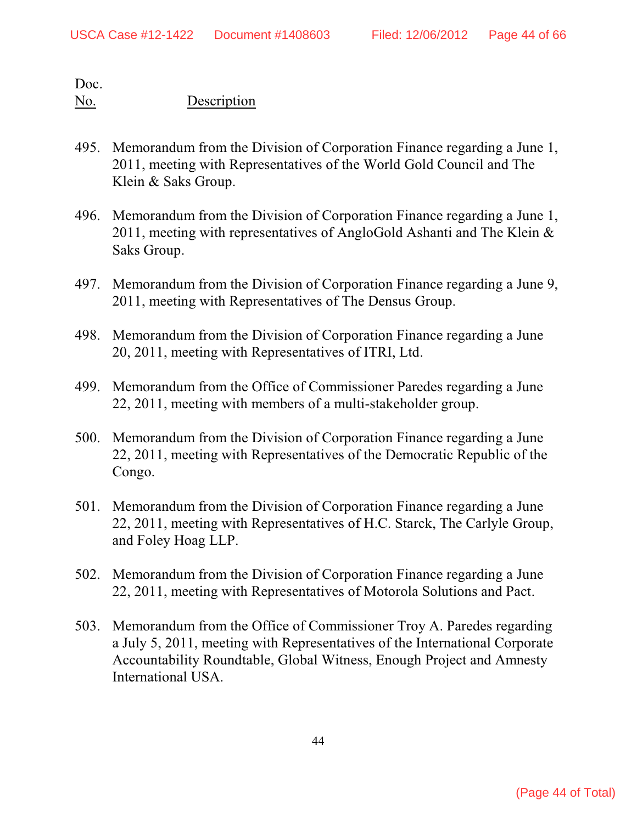- 495. Memorandum from the Division of Corporation Finance regarding a June 1, 2011, meeting with Representatives of the World Gold Council and The Klein & Saks Group.
- 496. Memorandum from the Division of Corporation Finance regarding a June 1, 2011, meeting with representatives of AngloGold Ashanti and The Klein & Saks Group.
- 497. Memorandum from the Division of Corporation Finance regarding a June 9, 2011, meeting with Representatives of The Densus Group.
- 498. Memorandum from the Division of Corporation Finance regarding a June 20, 2011, meeting with Representatives of ITRI, Ltd.
- 499. Memorandum from the Office of Commissioner Paredes regarding a June 22, 2011, meeting with members of a multi-stakeholder group.
- 500. Memorandum from the Division of Corporation Finance regarding a June 22, 2011, meeting with Representatives of the Democratic Republic of the Congo.
- 501. Memorandum from the Division of Corporation Finance regarding a June 22, 2011, meeting with Representatives of H.C. Starck, The Carlyle Group, and Foley Hoag LLP.
- 502. Memorandum from the Division of Corporation Finance regarding a June 22, 2011, meeting with Representatives of Motorola Solutions and Pact.
- 503. Memorandum from the Office of Commissioner Troy A. Paredes regarding a July 5, 2011, meeting with Representatives of the International Corporate Accountability Roundtable, Global Witness, Enough Project and Amnesty International USA.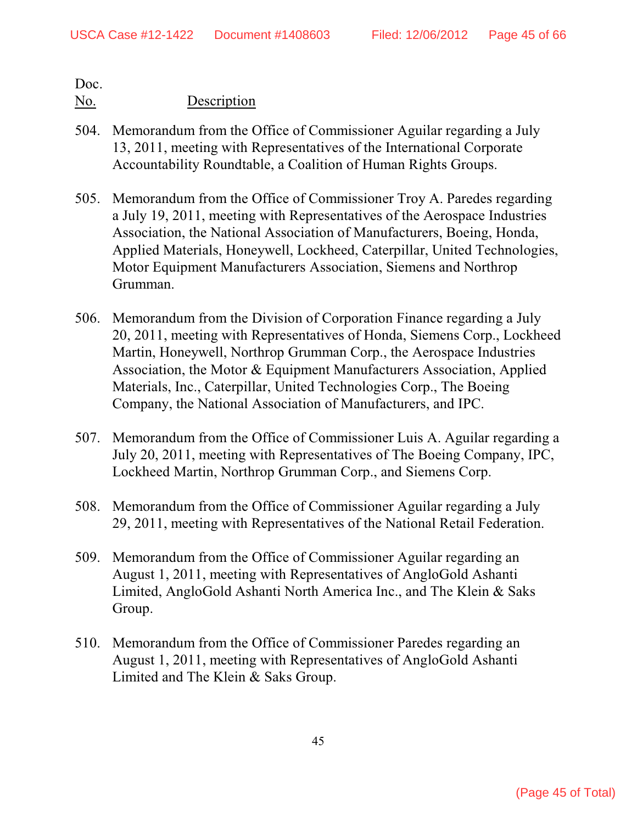- 504. Memorandum from the Office of Commissioner Aguilar regarding a July 13, 2011, meeting with Representatives of the International Corporate Accountability Roundtable, a Coalition of Human Rights Groups.
- 505. Memorandum from the Office of Commissioner Troy A. Paredes regarding a July 19, 2011, meeting with Representatives of the Aerospace Industries Association, the National Association of Manufacturers, Boeing, Honda, Applied Materials, Honeywell, Lockheed, Caterpillar, United Technologies, Motor Equipment Manufacturers Association, Siemens and Northrop Grumman.
- 506. Memorandum from the Division of Corporation Finance regarding a July 20, 2011, meeting with Representatives of Honda, Siemens Corp., Lockheed Martin, Honeywell, Northrop Grumman Corp., the Aerospace Industries Association, the Motor & Equipment Manufacturers Association, Applied Materials, Inc., Caterpillar, United Technologies Corp., The Boeing Company, the National Association of Manufacturers, and IPC.
- 507. Memorandum from the Office of Commissioner Luis A. Aguilar regarding a July 20, 2011, meeting with Representatives of The Boeing Company, IPC, Lockheed Martin, Northrop Grumman Corp., and Siemens Corp.
- 508. Memorandum from the Office of Commissioner Aguilar regarding a July 29, 2011, meeting with Representatives of the National Retail Federation.
- 509. Memorandum from the Office of Commissioner Aguilar regarding an August 1, 2011, meeting with Representatives of AngloGold Ashanti Limited, AngloGold Ashanti North America Inc., and The Klein & Saks Group.
- 510. Memorandum from the Office of Commissioner Paredes regarding an August 1, 2011, meeting with Representatives of AngloGold Ashanti Limited and The Klein & Saks Group.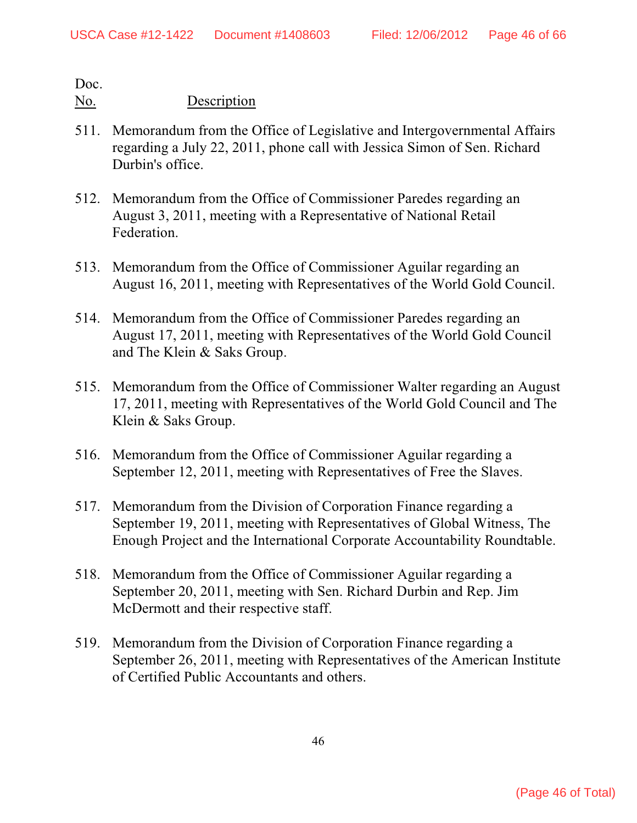- 511. Memorandum from the Office of Legislative and Intergovernmental Affairs regarding a July 22, 2011, phone call with Jessica Simon of Sen. Richard Durbin's office.
- 512. Memorandum from the Office of Commissioner Paredes regarding an August 3, 2011, meeting with a Representative of National Retail Federation.
- 513. Memorandum from the Office of Commissioner Aguilar regarding an August 16, 2011, meeting with Representatives of the World Gold Council.
- 514. Memorandum from the Office of Commissioner Paredes regarding an August 17, 2011, meeting with Representatives of the World Gold Council and The Klein & Saks Group.
- 515. Memorandum from the Office of Commissioner Walter regarding an August 17, 2011, meeting with Representatives of the World Gold Council and The Klein & Saks Group.
- 516. Memorandum from the Office of Commissioner Aguilar regarding a September 12, 2011, meeting with Representatives of Free the Slaves.
- 517. Memorandum from the Division of Corporation Finance regarding a September 19, 2011, meeting with Representatives of Global Witness, The Enough Project and the International Corporate Accountability Roundtable.
- 518. Memorandum from the Office of Commissioner Aguilar regarding a September 20, 2011, meeting with Sen. Richard Durbin and Rep. Jim McDermott and their respective staff.
- 519. Memorandum from the Division of Corporation Finance regarding a September 26, 2011, meeting with Representatives of the American Institute of Certified Public Accountants and others.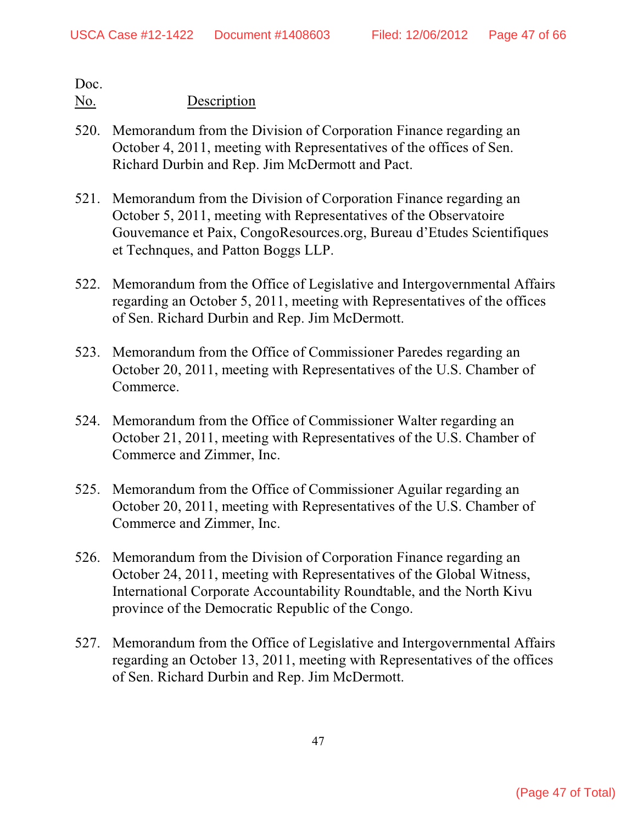- 520. Memorandum from the Division of Corporation Finance regarding an October 4, 2011, meeting with Representatives of the offices of Sen. Richard Durbin and Rep. Jim McDermott and Pact.
- 521. Memorandum from the Division of Corporation Finance regarding an October 5, 2011, meeting with Representatives of the Observatoire Gouvemance et Paix, CongoResources.org, Bureau d'Etudes Scientifiques et Technques, and Patton Boggs LLP.
- 522. Memorandum from the Office of Legislative and Intergovernmental Affairs regarding an October 5, 2011, meeting with Representatives of the offices of Sen. Richard Durbin and Rep. Jim McDermott.
- 523. Memorandum from the Office of Commissioner Paredes regarding an October 20, 2011, meeting with Representatives of the U.S. Chamber of Commerce.
- 524. Memorandum from the Office of Commissioner Walter regarding an October 21, 2011, meeting with Representatives of the U.S. Chamber of Commerce and Zimmer, Inc.
- 525. Memorandum from the Office of Commissioner Aguilar regarding an October 20, 2011, meeting with Representatives of the U.S. Chamber of Commerce and Zimmer, Inc.
- 526. Memorandum from the Division of Corporation Finance regarding an October 24, 2011, meeting with Representatives of the Global Witness, International Corporate Accountability Roundtable, and the North Kivu province of the Democratic Republic of the Congo.
- 527. Memorandum from the Office of Legislative and Intergovernmental Affairs regarding an October 13, 2011, meeting with Representatives of the offices of Sen. Richard Durbin and Rep. Jim McDermott.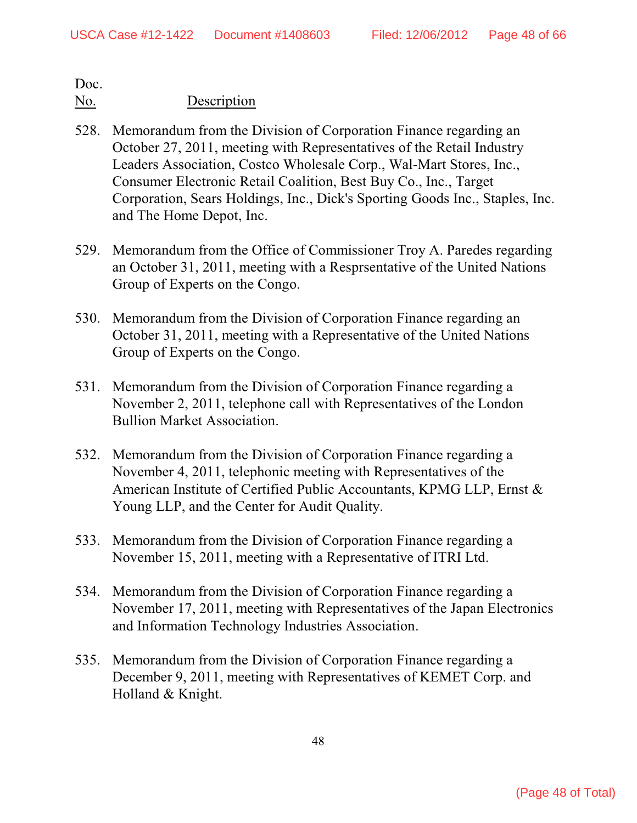- 528. Memorandum from the Division of Corporation Finance regarding an October 27, 2011, meeting with Representatives of the Retail Industry Leaders Association, Costco Wholesale Corp., Wal-Mart Stores, Inc., Consumer Electronic Retail Coalition, Best Buy Co., Inc., Target Corporation, Sears Holdings, Inc., Dick's Sporting Goods Inc., Staples, Inc. and The Home Depot, Inc.
- 529. Memorandum from the Office of Commissioner Troy A. Paredes regarding an October 31, 2011, meeting with a Resprsentative of the United Nations Group of Experts on the Congo.
- 530. Memorandum from the Division of Corporation Finance regarding an October 31, 2011, meeting with a Representative of the United Nations Group of Experts on the Congo.
- 531. Memorandum from the Division of Corporation Finance regarding a November 2, 2011, telephone call with Representatives of the London Bullion Market Association.
- 532. Memorandum from the Division of Corporation Finance regarding a November 4, 2011, telephonic meeting with Representatives of the American Institute of Certified Public Accountants, KPMG LLP, Ernst & Young LLP, and the Center for Audit Quality.
- 533. Memorandum from the Division of Corporation Finance regarding a November 15, 2011, meeting with a Representative of ITRI Ltd.
- 534. Memorandum from the Division of Corporation Finance regarding a November 17, 2011, meeting with Representatives of the Japan Electronics and Information Technology Industries Association.
- 535. Memorandum from the Division of Corporation Finance regarding a December 9, 2011, meeting with Representatives of KEMET Corp. and Holland & Knight.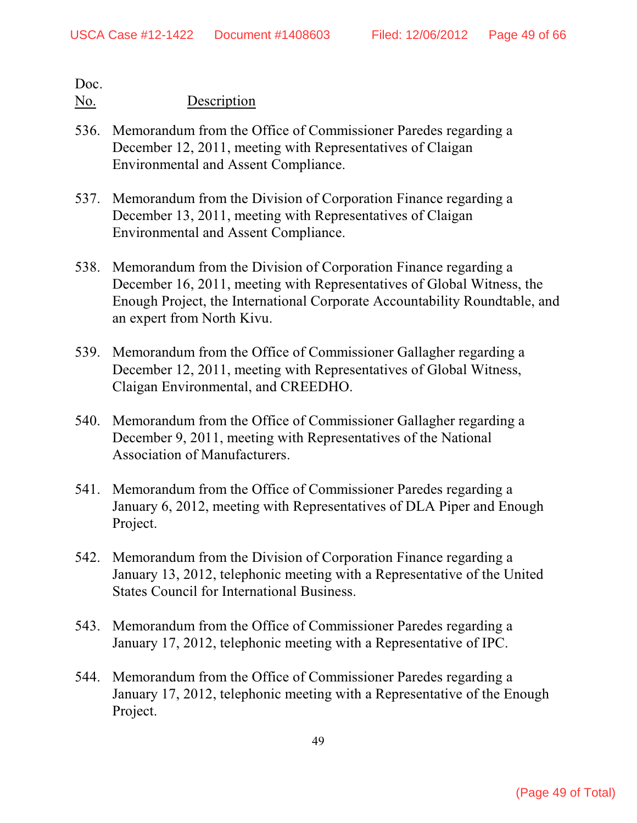- 536. Memorandum from the Office of Commissioner Paredes regarding a December 12, 2011, meeting with Representatives of Claigan Environmental and Assent Compliance.
- 537. Memorandum from the Division of Corporation Finance regarding a December 13, 2011, meeting with Representatives of Claigan Environmental and Assent Compliance.
- 538. Memorandum from the Division of Corporation Finance regarding a December 16, 2011, meeting with Representatives of Global Witness, the Enough Project, the International Corporate Accountability Roundtable, and an expert from North Kivu.
- 539. Memorandum from the Office of Commissioner Gallagher regarding a December 12, 2011, meeting with Representatives of Global Witness, Claigan Environmental, and CREEDHO.
- 540. Memorandum from the Office of Commissioner Gallagher regarding a December 9, 2011, meeting with Representatives of the National Association of Manufacturers.
- 541. Memorandum from the Office of Commissioner Paredes regarding a January 6, 2012, meeting with Representatives of DLA Piper and Enough Project.
- 542. Memorandum from the Division of Corporation Finance regarding a January 13, 2012, telephonic meeting with a Representative of the United States Council for International Business.
- 543. Memorandum from the Office of Commissioner Paredes regarding a January 17, 2012, telephonic meeting with a Representative of IPC.
- 544. Memorandum from the Office of Commissioner Paredes regarding a January 17, 2012, telephonic meeting with a Representative of the Enough Project.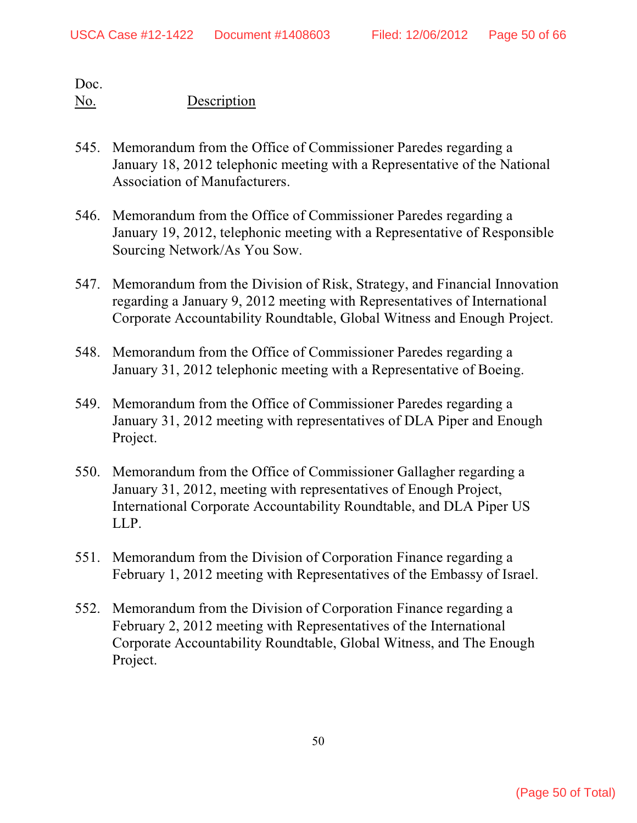- 545. Memorandum from the Office of Commissioner Paredes regarding a January 18, 2012 telephonic meeting with a Representative of the National Association of Manufacturers.
- 546. Memorandum from the Office of Commissioner Paredes regarding a January 19, 2012, telephonic meeting with a Representative of Responsible Sourcing Network/As You Sow.
- 547. Memorandum from the Division of Risk, Strategy, and Financial Innovation regarding a January 9, 2012 meeting with Representatives of International Corporate Accountability Roundtable, Global Witness and Enough Project.
- 548. Memorandum from the Office of Commissioner Paredes regarding a January 31, 2012 telephonic meeting with a Representative of Boeing.
- 549. Memorandum from the Office of Commissioner Paredes regarding a January 31, 2012 meeting with representatives of DLA Piper and Enough Project.
- 550. Memorandum from the Office of Commissioner Gallagher regarding a January 31, 2012, meeting with representatives of Enough Project, International Corporate Accountability Roundtable, and DLA Piper US LLP.
- 551. Memorandum from the Division of Corporation Finance regarding a February 1, 2012 meeting with Representatives of the Embassy of Israel.
- 552. Memorandum from the Division of Corporation Finance regarding a February 2, 2012 meeting with Representatives of the International Corporate Accountability Roundtable, Global Witness, and The Enough Project.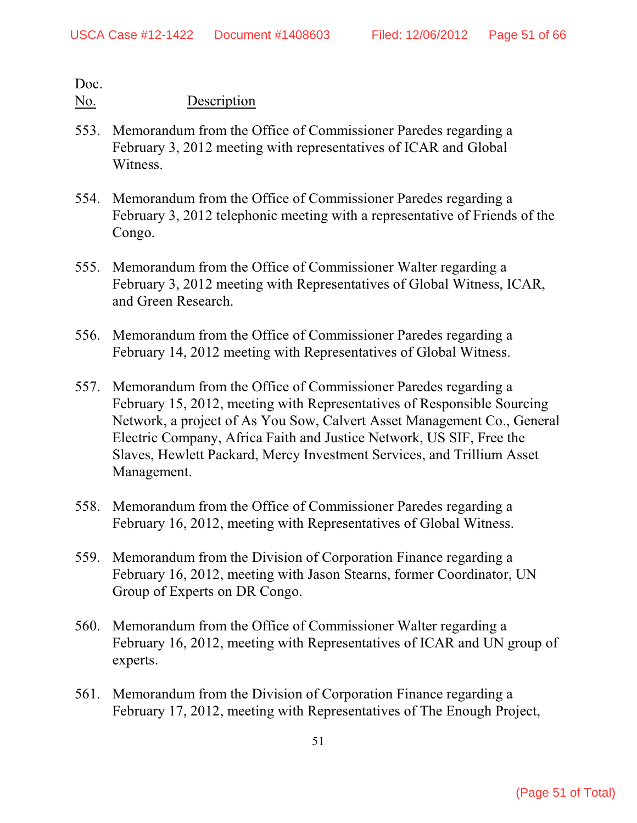- 553. Memorandum from the Office of Commissioner Paredes regarding a February 3, 2012 meeting with representatives of ICAR and Global Witness.
- 554. Memorandum from the Office of Commissioner Paredes regarding a February 3, 2012 telephonic meeting with a representative of Friends of the Congo.
- 555. Memorandum from the Office of Commissioner Walter regarding a February 3, 2012 meeting with Representatives of Global Witness, ICAR, and Green Research.
- 556. Memorandum from the Office of Commissioner Paredes regarding a February 14, 2012 meeting with Representatives of Global Witness.
- 557. Memorandum from the Office of Commissioner Paredes regarding a February 15, 2012, meeting with Representatives of Responsible Sourcing Network, a project of As You Sow, Calvert Asset Management Co., General Electric Company, Africa Faith and Justice Network, US SIF, Free the Slaves, Hewlett Packard, Mercy Investment Services, and Trillium Asset Management.
- 558. Memorandum from the Office of Commissioner Paredes regarding a February 16, 2012, meeting with Representatives of Global Witness.
- 559. Memorandum from the Division of Corporation Finance regarding a February 16, 2012, meeting with Jason Stearns, former Coordinator, UN Group of Experts on DR Congo.
- 560. Memorandum from the Office of Commissioner Walter regarding a February 16, 2012, meeting with Representatives of ICAR and UN group of experts.
- 561. Memorandum from the Division of Corporation Finance regarding a February 17, 2012, meeting with Representatives of The Enough Project,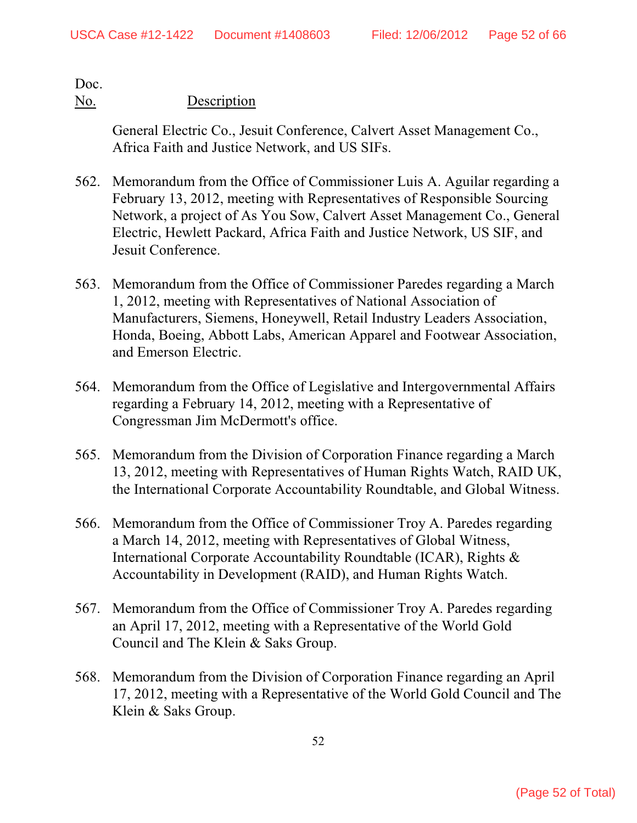### No. Description

General Electric Co., Jesuit Conference, Calvert Asset Management Co., Africa Faith and Justice Network, and US SIFs.

- 562. Memorandum from the Office of Commissioner Luis A. Aguilar regarding a February 13, 2012, meeting with Representatives of Responsible Sourcing Network, a project of As You Sow, Calvert Asset Management Co., General Electric, Hewlett Packard, Africa Faith and Justice Network, US SIF, and Jesuit Conference.
- 563. Memorandum from the Office of Commissioner Paredes regarding a March 1, 2012, meeting with Representatives of National Association of Manufacturers, Siemens, Honeywell, Retail Industry Leaders Association, Honda, Boeing, Abbott Labs, American Apparel and Footwear Association, and Emerson Electric.
- 564. Memorandum from the Office of Legislative and Intergovernmental Affairs regarding a February 14, 2012, meeting with a Representative of Congressman Jim McDermott's office.
- 565. Memorandum from the Division of Corporation Finance regarding a March 13, 2012, meeting with Representatives of Human Rights Watch, RAID UK, the International Corporate Accountability Roundtable, and Global Witness.
- 566. Memorandum from the Office of Commissioner Troy A. Paredes regarding a March 14, 2012, meeting with Representatives of Global Witness, International Corporate Accountability Roundtable (ICAR), Rights & Accountability in Development (RAID), and Human Rights Watch.
- 567. Memorandum from the Office of Commissioner Troy A. Paredes regarding an April 17, 2012, meeting with a Representative of the World Gold Council and The Klein & Saks Group.
- 568. Memorandum from the Division of Corporation Finance regarding an April 17, 2012, meeting with a Representative of the World Gold Council and The Klein & Saks Group.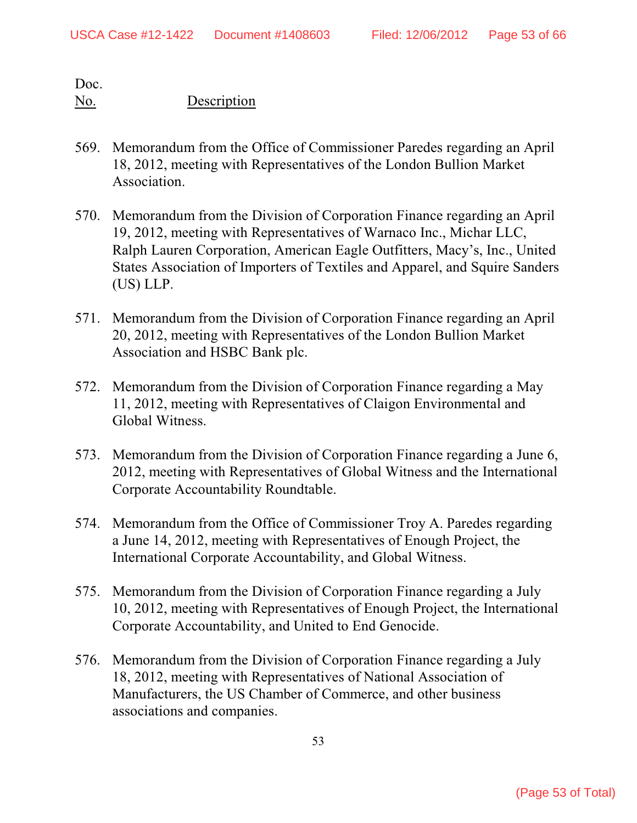- 569. Memorandum from the Office of Commissioner Paredes regarding an April 18, 2012, meeting with Representatives of the London Bullion Market Association.
- 570. Memorandum from the Division of Corporation Finance regarding an April 19, 2012, meeting with Representatives of Warnaco Inc., Michar LLC, Ralph Lauren Corporation, American Eagle Outfitters, Macy's, Inc., United States Association of Importers of Textiles and Apparel, and Squire Sanders (US) LLP.
- 571. Memorandum from the Division of Corporation Finance regarding an April 20, 2012, meeting with Representatives of the London Bullion Market Association and HSBC Bank plc.
- 572. Memorandum from the Division of Corporation Finance regarding a May 11, 2012, meeting with Representatives of Claigon Environmental and Global Witness.
- 573. Memorandum from the Division of Corporation Finance regarding a June 6, 2012, meeting with Representatives of Global Witness and the International Corporate Accountability Roundtable.
- 574. Memorandum from the Office of Commissioner Troy A. Paredes regarding a June 14, 2012, meeting with Representatives of Enough Project, the International Corporate Accountability, and Global Witness.
- 575. Memorandum from the Division of Corporation Finance regarding a July 10, 2012, meeting with Representatives of Enough Project, the International Corporate Accountability, and United to End Genocide.
- 576. Memorandum from the Division of Corporation Finance regarding a July 18, 2012, meeting with Representatives of National Association of Manufacturers, the US Chamber of Commerce, and other business associations and companies.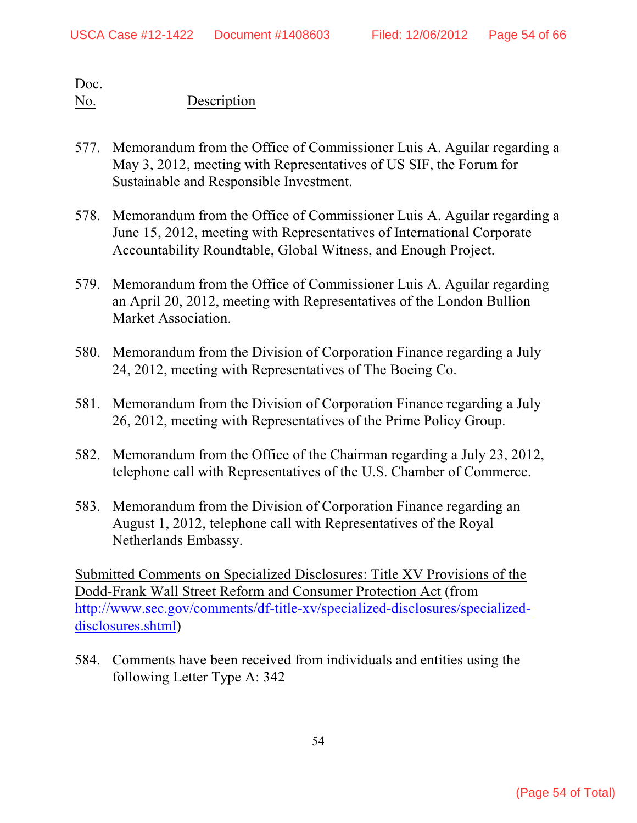### No. Description

- 577. Memorandum from the Office of Commissioner Luis A. Aguilar regarding a May 3, 2012, meeting with Representatives of US SIF, the Forum for Sustainable and Responsible Investment.
- 578. Memorandum from the Office of Commissioner Luis A. Aguilar regarding a June 15, 2012, meeting with Representatives of International Corporate Accountability Roundtable, Global Witness, and Enough Project.
- 579. Memorandum from the Office of Commissioner Luis A. Aguilar regarding an April 20, 2012, meeting with Representatives of the London Bullion Market Association.
- 580. Memorandum from the Division of Corporation Finance regarding a July 24, 2012, meeting with Representatives of The Boeing Co.
- 581. Memorandum from the Division of Corporation Finance regarding a July 26, 2012, meeting with Representatives of the Prime Policy Group.
- 582. Memorandum from the Office of the Chairman regarding a July 23, 2012, telephone call with Representatives of the U.S. Chamber of Commerce.
- 583. Memorandum from the Division of Corporation Finance regarding an August 1, 2012, telephone call with Representatives of the Royal Netherlands Embassy.

Submitted Comments on Specialized Disclosures: Title XV Provisions of the Dodd-Frank Wall Street Reform and Consumer Protection Act (from [http://www.sec.gov/comments/df-title-xv/specialized-disclosures/specialized](#page-53-0)[disclosures.shtml](#page-53-0))

<span id="page-53-0"></span>584. Comments have been received from individuals and entities using the following Letter Type A: 342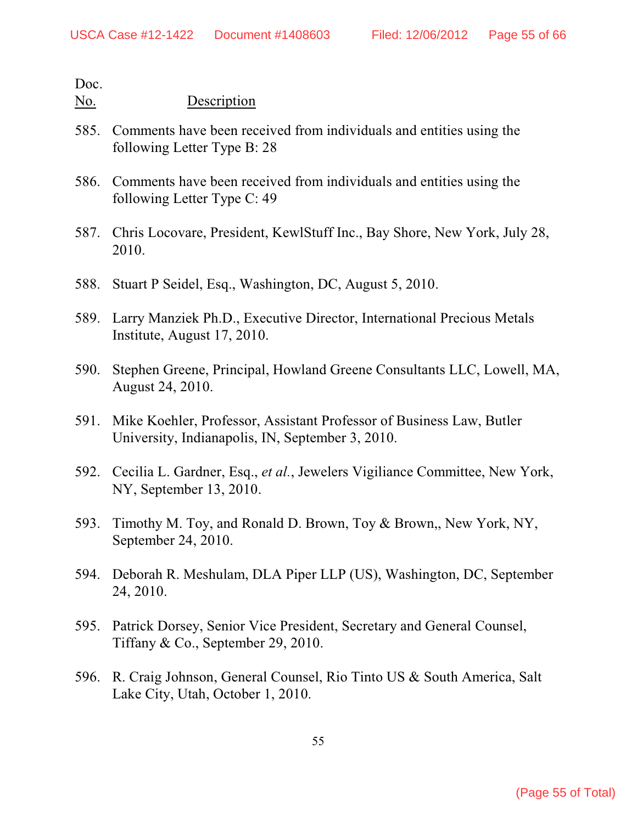- 585. Comments have been received from individuals and entities using the following Letter Type B: 28
- 586. Comments have been received from individuals and entities using the following Letter Type C: 49
- 587. Chris Locovare, President, KewlStuff Inc., Bay Shore, New York, July 28, 2010.
- 588. Stuart P Seidel, Esq., Washington, DC, August 5, 2010.
- 589. Larry Manziek Ph.D., Executive Director, International Precious Metals Institute, August 17, 2010.
- 590. Stephen Greene, Principal, Howland Greene Consultants LLC, Lowell, MA, August 24, 2010.
- 591. Mike Koehler, Professor, Assistant Professor of Business Law, Butler University, Indianapolis, IN, September 3, 2010.
- 592. Cecilia L. Gardner, Esq., *et al.*, Jewelers Vigiliance Committee, New York, NY, September 13, 2010.
- 593. Timothy M. Toy, and Ronald D. Brown, Toy & Brown,, New York, NY, September 24, 2010.
- 594. Deborah R. Meshulam, DLA Piper LLP (US), Washington, DC, September 24, 2010.
- 595. Patrick Dorsey, Senior Vice President, Secretary and General Counsel, Tiffany & Co., September 29, 2010.
- 596. R. Craig Johnson, General Counsel, Rio Tinto US & South America, Salt Lake City, Utah, October 1, 2010.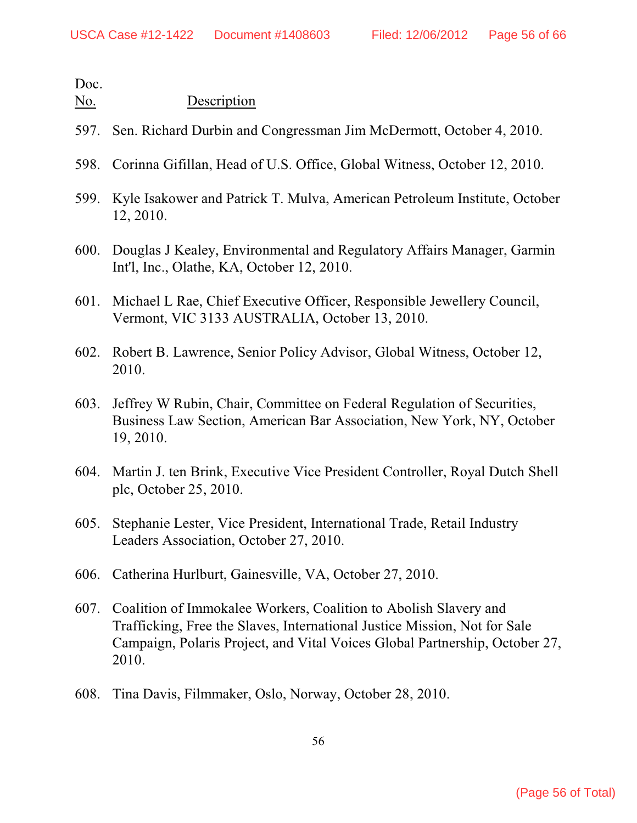- 597. Sen. Richard Durbin and Congressman Jim McDermott, October 4, 2010.
- 598. Corinna Gifillan, Head of U.S. Office, Global Witness, October 12, 2010.
- 599. Kyle Isakower and Patrick T. Mulva, American Petroleum Institute, October 12, 2010.
- 600. Douglas J Kealey, Environmental and Regulatory Affairs Manager, Garmin Int'l, Inc., Olathe, KA, October 12, 2010.
- 601. Michael L Rae, Chief Executive Officer, Responsible Jewellery Council, Vermont, VIC 3133 AUSTRALIA, October 13, 2010.
- 602. Robert B. Lawrence, Senior Policy Advisor, Global Witness, October 12, 2010.
- 603. Jeffrey W Rubin, Chair, Committee on Federal Regulation of Securities, Business Law Section, American Bar Association, New York, NY, October 19, 2010.
- 604. Martin J. ten Brink, Executive Vice President Controller, Royal Dutch Shell plc, October 25, 2010.
- 605. Stephanie Lester, Vice President, International Trade, Retail Industry Leaders Association, October 27, 2010.
- 606. Catherina Hurlburt, Gainesville, VA, October 27, 2010.
- 607. Coalition of Immokalee Workers, Coalition to Abolish Slavery and Trafficking, Free the Slaves, International Justice Mission, Not for Sale Campaign, Polaris Project, and Vital Voices Global Partnership, October 27, 2010.
- 608. Tina Davis, Filmmaker, Oslo, Norway, October 28, 2010.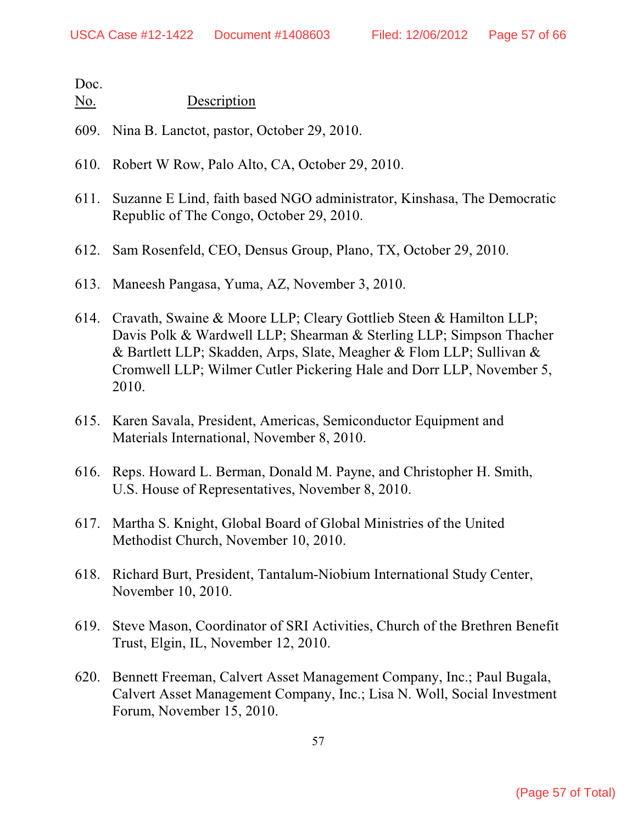- 609. Nina B. Lanctot, pastor, October 29, 2010.
- 610. Robert W Row, Palo Alto, CA, October 29, 2010.
- 611. Suzanne E Lind, faith based NGO administrator, Kinshasa, The Democratic Republic of The Congo, October 29, 2010.
- 612. Sam Rosenfeld, CEO, Densus Group, Plano, TX, October 29, 2010.
- 613. Maneesh Pangasa, Yuma, AZ, November 3, 2010.
- 614. Cravath, Swaine & Moore LLP; Cleary Gottlieb Steen & Hamilton LLP; Davis Polk & Wardwell LLP; Shearman & Sterling LLP; Simpson Thacher & Bartlett LLP; Skadden, Arps, Slate, Meagher & Flom LLP; Sullivan & Cromwell LLP; Wilmer Cutler Pickering Hale and Dorr LLP, November 5, 2010.
- 615. Karen Savala, President, Americas, Semiconductor Equipment and Materials International, November 8, 2010.
- 616. Reps. Howard L. Berman, Donald M. Payne, and Christopher H. Smith, U.S. House of Representatives, November 8, 2010.
- 617. Martha S. Knight, Global Board of Global Ministries of the United Methodist Church, November 10, 2010.
- 618. Richard Burt, President, Tantalum-Niobium International Study Center, November 10, 2010.
- 619. Steve Mason, Coordinator of SRI Activities, Church of the Brethren Benefit Trust, Elgin, IL, November 12, 2010.
- 620. Bennett Freeman, Calvert Asset Management Company, Inc.; Paul Bugala, Calvert Asset Management Company, Inc.; Lisa N. Woll, Social Investment Forum, November 15, 2010.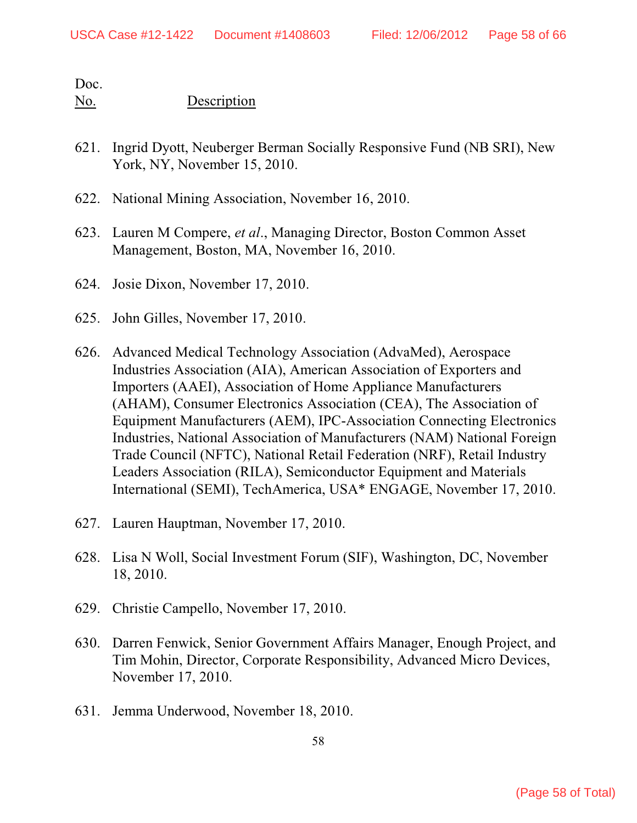- 621. Ingrid Dyott, Neuberger Berman Socially Responsive Fund (NB SRI), New York, NY, November 15, 2010.
- 622. National Mining Association, November 16, 2010.
- 623. Lauren M Compere, *et al*., Managing Director, Boston Common Asset Management, Boston, MA, November 16, 2010.
- 624. Josie Dixon, November 17, 2010.
- 625. John Gilles, November 17, 2010.
- 626. Advanced Medical Technology Association (AdvaMed), Aerospace Industries Association (AIA), American Association of Exporters and Importers (AAEI), Association of Home Appliance Manufacturers (AHAM), Consumer Electronics Association (CEA), The Association of Equipment Manufacturers (AEM), IPC-Association Connecting Electronics Industries, National Association of Manufacturers (NAM) National Foreign Trade Council (NFTC), National Retail Federation (NRF), Retail Industry Leaders Association (RILA), Semiconductor Equipment and Materials International (SEMI), TechAmerica, USA\* ENGAGE, November 17, 2010.
- 627. Lauren Hauptman, November 17, 2010.
- 628. Lisa N Woll, Social Investment Forum (SIF), Washington, DC, November 18, 2010.
- 629. Christie Campello, November 17, 2010.
- 630. Darren Fenwick, Senior Government Affairs Manager, Enough Project, and Tim Mohin, Director, Corporate Responsibility, Advanced Micro Devices, November 17, 2010.
- 631. Jemma Underwood, November 18, 2010.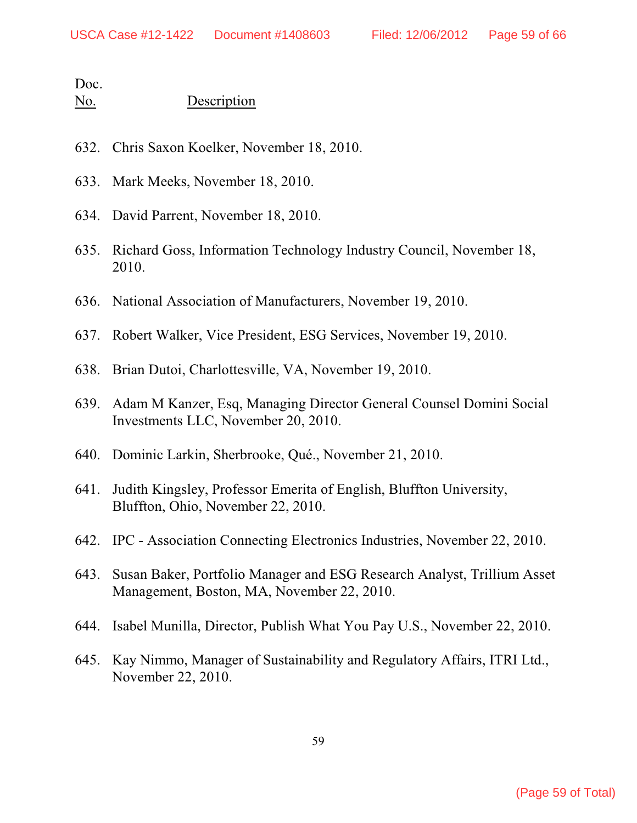| No. | Description |
|-----|-------------|
|     |             |

- 632. Chris Saxon Koelker, November 18, 2010.
- 633. Mark Meeks, November 18, 2010.
- 634. David Parrent, November 18, 2010.
- 635. Richard Goss, Information Technology Industry Council, November 18, 2010.
- 636. National Association of Manufacturers, November 19, 2010.
- 637. Robert Walker, Vice President, ESG Services, November 19, 2010.
- 638. Brian Dutoi, Charlottesville, VA, November 19, 2010.
- 639. Adam M Kanzer, Esq, Managing Director General Counsel Domini Social Investments LLC, November 20, 2010.
- 640. Dominic Larkin, Sherbrooke, Qué., November 21, 2010.
- 641. Judith Kingsley, Professor Emerita of English, Bluffton University, Bluffton, Ohio, November 22, 2010.
- 642. IPC Association Connecting Electronics Industries, November 22, 2010.
- 643. Susan Baker, Portfolio Manager and ESG Research Analyst, Trillium Asset Management, Boston, MA, November 22, 2010.
- 644. Isabel Munilla, Director, Publish What You Pay U.S., November 22, 2010.
- 645. Kay Nimmo, Manager of Sustainability and Regulatory Affairs, ITRI Ltd., November 22, 2010.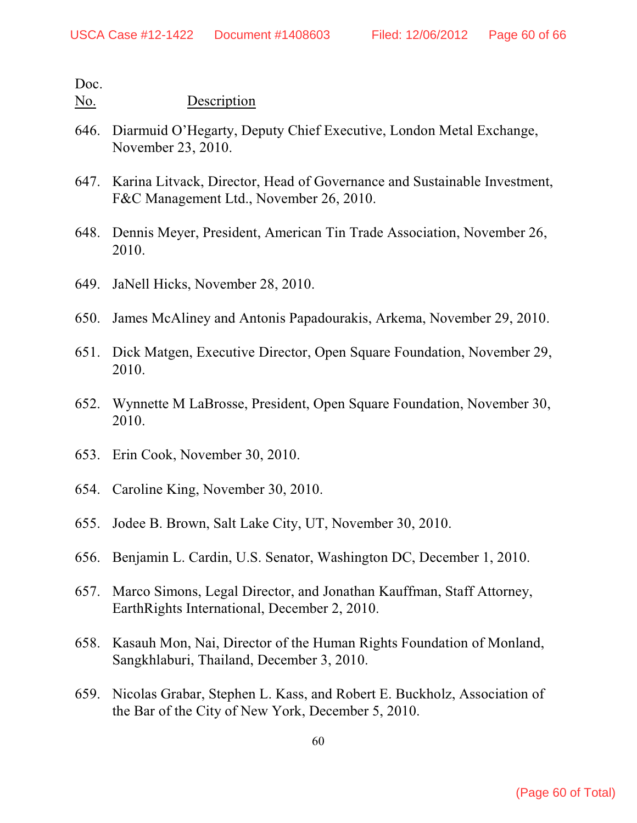- 646. Diarmuid O'Hegarty, Deputy Chief Executive, London Metal Exchange, November 23, 2010.
- 647. Karina Litvack, Director, Head of Governance and Sustainable Investment, F&C Management Ltd., November 26, 2010.
- 648. Dennis Meyer, President, American Tin Trade Association, November 26, 2010.
- 649. JaNell Hicks, November 28, 2010.
- 650. James McAliney and Antonis Papadourakis, Arkema, November 29, 2010.
- 651. Dick Matgen, Executive Director, Open Square Foundation, November 29, 2010.
- 652. Wynnette M LaBrosse, President, Open Square Foundation, November 30, 2010.
- 653. Erin Cook, November 30, 2010.
- 654. Caroline King, November 30, 2010.
- 655. Jodee B. Brown, Salt Lake City, UT, November 30, 2010.
- 656. Benjamin L. Cardin, U.S. Senator, Washington DC, December 1, 2010.
- 657. Marco Simons, Legal Director, and Jonathan Kauffman, Staff Attorney, EarthRights International, December 2, 2010.
- 658. Kasauh Mon, Nai, Director of the Human Rights Foundation of Monland, Sangkhlaburi, Thailand, December 3, 2010.
- 659. Nicolas Grabar, Stephen L. Kass, and Robert E. Buckholz, Association of the Bar of the City of New York, December 5, 2010.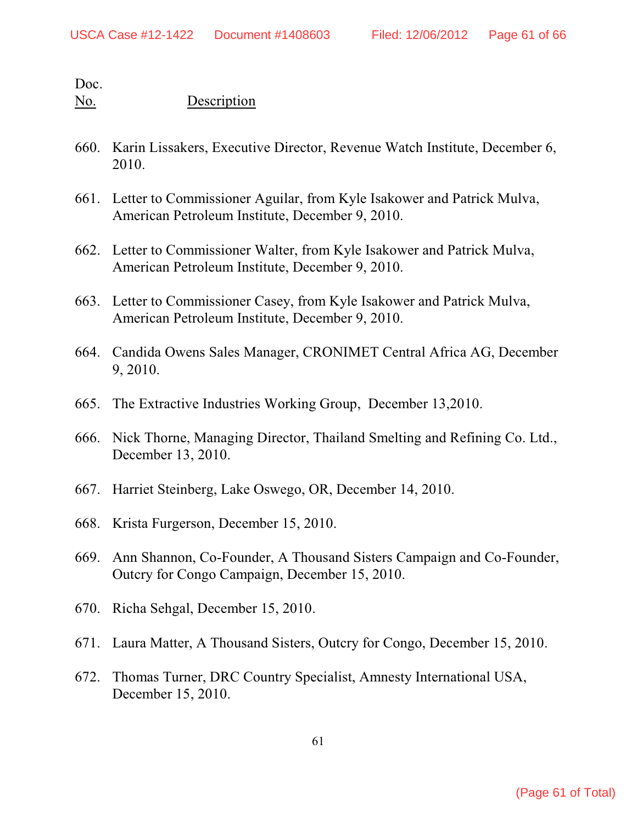- 660. Karin Lissakers, Executive Director, Revenue Watch Institute, December 6, 2010.
- 661. Letter to Commissioner Aguilar, from Kyle Isakower and Patrick Mulva, American Petroleum Institute, December 9, 2010.
- 662. Letter to Commissioner Walter, from Kyle Isakower and Patrick Mulva, American Petroleum Institute, December 9, 2010.
- 663. Letter to Commissioner Casey, from Kyle Isakower and Patrick Mulva, American Petroleum Institute, December 9, 2010.
- 664. Candida Owens Sales Manager, CRONIMET Central Africa AG, December 9, 2010.
- 665. The Extractive Industries Working Group, December 13,2010.
- 666. Nick Thorne, Managing Director, Thailand Smelting and Refining Co. Ltd., December 13, 2010.
- 667. Harriet Steinberg, Lake Oswego, OR, December 14, 2010.
- 668. Krista Furgerson, December 15, 2010.
- 669. Ann Shannon, Co-Founder, A Thousand Sisters Campaign and Co-Founder, Outcry for Congo Campaign, December 15, 2010.
- 670. Richa Sehgal, December 15, 2010.
- 671. Laura Matter, A Thousand Sisters, Outcry for Congo, December 15, 2010.
- 672. Thomas Turner, DRC Country Specialist, Amnesty International USA, December 15, 2010.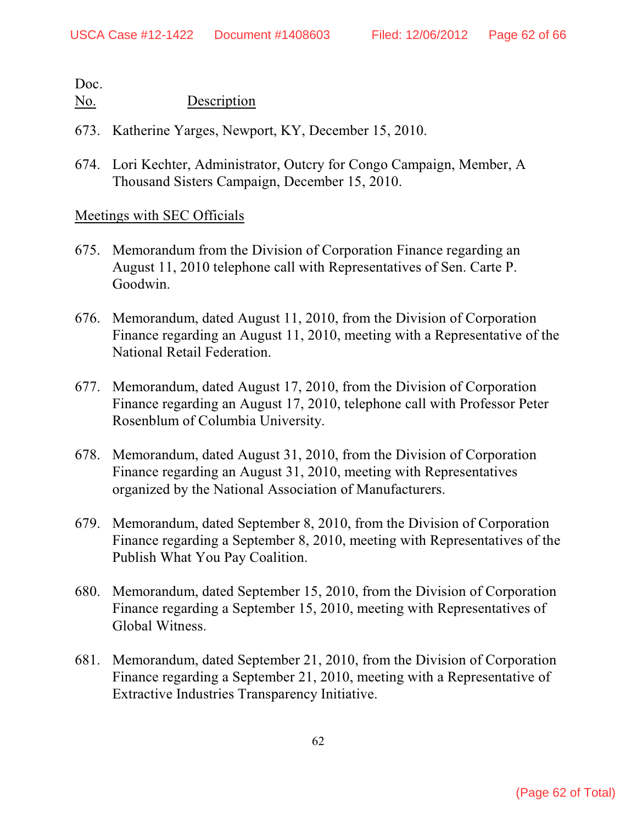### No. Description

- 673. Katherine Yarges, Newport, KY, December 15, 2010.
- 674. Lori Kechter, Administrator, Outcry for Congo Campaign, Member, A Thousand Sisters Campaign, December 15, 2010.

### Meetings with SEC Officials

- 675. Memorandum from the Division of Corporation Finance regarding an August 11, 2010 telephone call with Representatives of Sen. Carte P. Goodwin.
- 676. Memorandum, dated August 11, 2010, from the Division of Corporation Finance regarding an August 11, 2010, meeting with a Representative of the National Retail Federation.
- 677. Memorandum, dated August 17, 2010, from the Division of Corporation Finance regarding an August 17, 2010, telephone call with Professor Peter Rosenblum of Columbia University.
- 678. Memorandum, dated August 31, 2010, from the Division of Corporation Finance regarding an August 31, 2010, meeting with Representatives organized by the National Association of Manufacturers.
- 679. Memorandum, dated September 8, 2010, from the Division of Corporation Finance regarding a September 8, 2010, meeting with Representatives of the Publish What You Pay Coalition.
- 680. Memorandum, dated September 15, 2010, from the Division of Corporation Finance regarding a September 15, 2010, meeting with Representatives of Global Witness.
- 681. Memorandum, dated September 21, 2010, from the Division of Corporation Finance regarding a September 21, 2010, meeting with a Representative of Extractive Industries Transparency Initiative.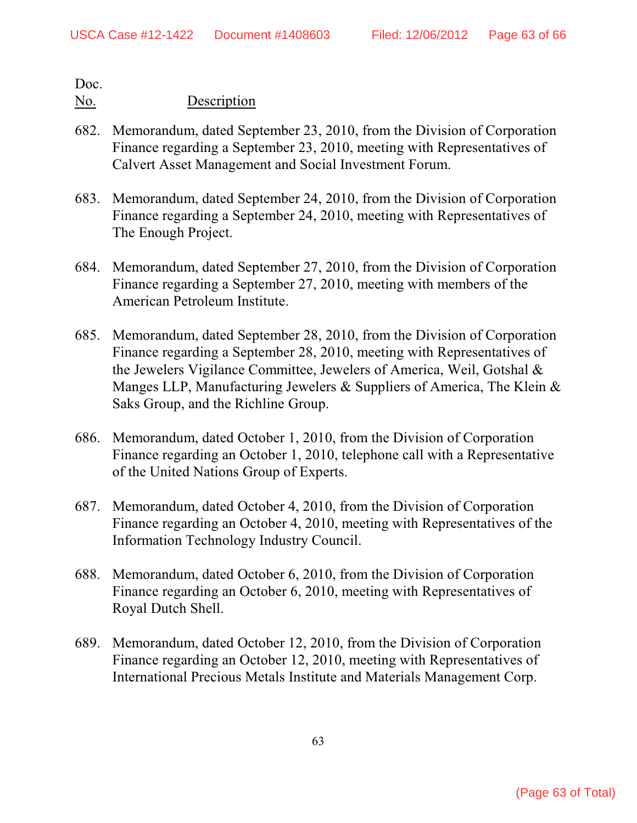- 682. Memorandum, dated September 23, 2010, from the Division of Corporation Finance regarding a September 23, 2010, meeting with Representatives of Calvert Asset Management and Social Investment Forum.
- 683. Memorandum, dated September 24, 2010, from the Division of Corporation Finance regarding a September 24, 2010, meeting with Representatives of The Enough Project.
- 684. Memorandum, dated September 27, 2010, from the Division of Corporation Finance regarding a September 27, 2010, meeting with members of the American Petroleum Institute.
- 685. Memorandum, dated September 28, 2010, from the Division of Corporation Finance regarding a September 28, 2010, meeting with Representatives of the Jewelers Vigilance Committee, Jewelers of America, Weil, Gotshal & Manges LLP, Manufacturing Jewelers & Suppliers of America, The Klein & Saks Group, and the Richline Group.
- 686. Memorandum, dated October 1, 2010, from the Division of Corporation Finance regarding an October 1, 2010, telephone call with a Representative of the United Nations Group of Experts.
- 687. Memorandum, dated October 4, 2010, from the Division of Corporation Finance regarding an October 4, 2010, meeting with Representatives of the Information Technology Industry Council.
- 688. Memorandum, dated October 6, 2010, from the Division of Corporation Finance regarding an October 6, 2010, meeting with Representatives of Royal Dutch Shell.
- 689. Memorandum, dated October 12, 2010, from the Division of Corporation Finance regarding an October 12, 2010, meeting with Representatives of International Precious Metals Institute and Materials Management Corp.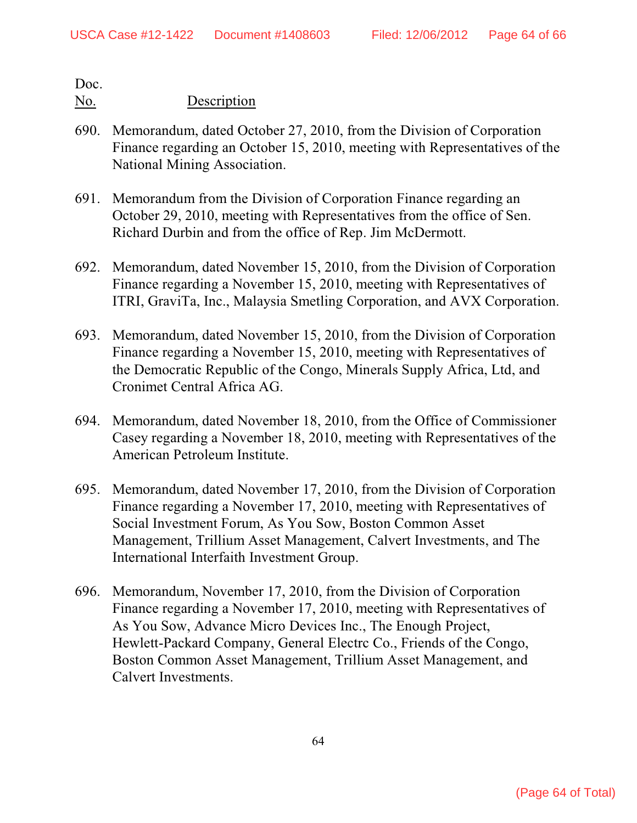- 690. Memorandum, dated October 27, 2010, from the Division of Corporation Finance regarding an October 15, 2010, meeting with Representatives of the National Mining Association.
- 691. Memorandum from the Division of Corporation Finance regarding an October 29, 2010, meeting with Representatives from the office of Sen. Richard Durbin and from the office of Rep. Jim McDermott.
- 692. Memorandum, dated November 15, 2010, from the Division of Corporation Finance regarding a November 15, 2010, meeting with Representatives of ITRI, GraviTa, Inc., Malaysia Smetling Corporation, and AVX Corporation.
- 693. Memorandum, dated November 15, 2010, from the Division of Corporation Finance regarding a November 15, 2010, meeting with Representatives of the Democratic Republic of the Congo, Minerals Supply Africa, Ltd, and Cronimet Central Africa AG.
- 694. Memorandum, dated November 18, 2010, from the Office of Commissioner Casey regarding a November 18, 2010, meeting with Representatives of the American Petroleum Institute.
- 695. Memorandum, dated November 17, 2010, from the Division of Corporation Finance regarding a November 17, 2010, meeting with Representatives of Social Investment Forum, As You Sow, Boston Common Asset Management, Trillium Asset Management, Calvert Investments, and The International Interfaith Investment Group.
- 696. Memorandum, November 17, 2010, from the Division of Corporation Finance regarding a November 17, 2010, meeting with Representatives of As You Sow, Advance Micro Devices Inc., The Enough Project, Hewlett-Packard Company, General Electrc Co., Friends of the Congo, Boston Common Asset Management, Trillium Asset Management, and Calvert Investments.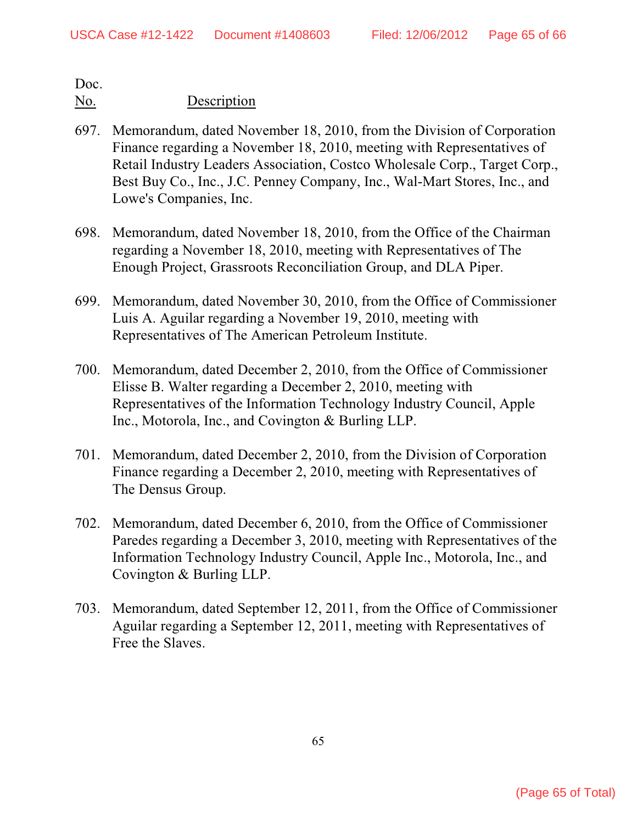- 697. Memorandum, dated November 18, 2010, from the Division of Corporation Finance regarding a November 18, 2010, meeting with Representatives of Retail Industry Leaders Association, Costco Wholesale Corp., Target Corp., Best Buy Co., Inc., J.C. Penney Company, Inc., Wal-Mart Stores, Inc., and Lowe's Companies, Inc.
- 698. Memorandum, dated November 18, 2010, from the Office of the Chairman regarding a November 18, 2010, meeting with Representatives of The Enough Project, Grassroots Reconciliation Group, and DLA Piper.
- 699. Memorandum, dated November 30, 2010, from the Office of Commissioner Luis A. Aguilar regarding a November 19, 2010, meeting with Representatives of The American Petroleum Institute.
- 700. Memorandum, dated December 2, 2010, from the Office of Commissioner Elisse B. Walter regarding a December 2, 2010, meeting with Representatives of the Information Technology Industry Council, Apple Inc., Motorola, Inc., and Covington & Burling LLP.
- 701. Memorandum, dated December 2, 2010, from the Division of Corporation Finance regarding a December 2, 2010, meeting with Representatives of The Densus Group.
- 702. Memorandum, dated December 6, 2010, from the Office of Commissioner Paredes regarding a December 3, 2010, meeting with Representatives of the Information Technology Industry Council, Apple Inc., Motorola, Inc., and Covington & Burling LLP.
- 703. Memorandum, dated September 12, 2011, from the Office of Commissioner Aguilar regarding a September 12, 2011, meeting with Representatives of Free the Slaves.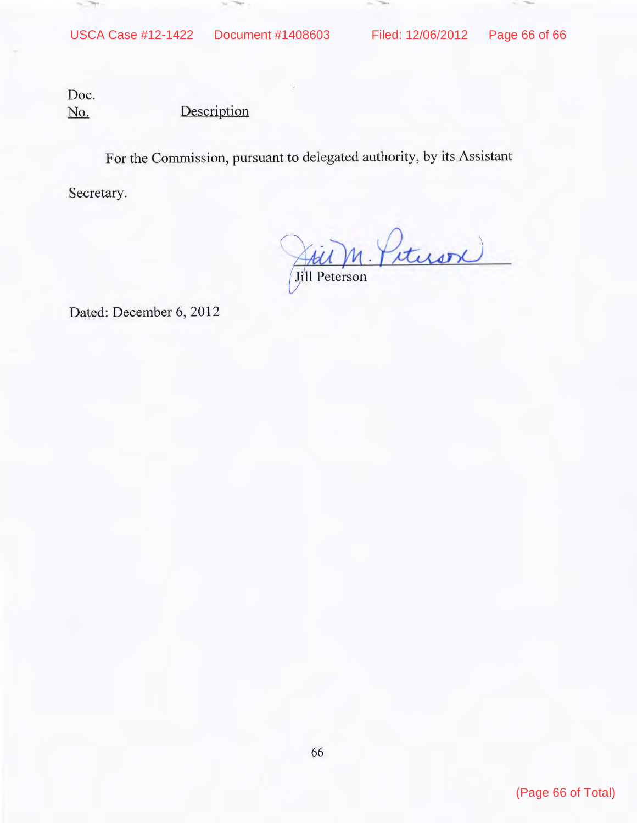$\sim$  760

The Corporation of

Doc. No. Description

to The

For the Commission, pursuant to delegated authority, by its Assistant

Secretary.

 $-2$ 

 $\sqrt{2}$ lJuin. Pituson

Dated: December 6, 2012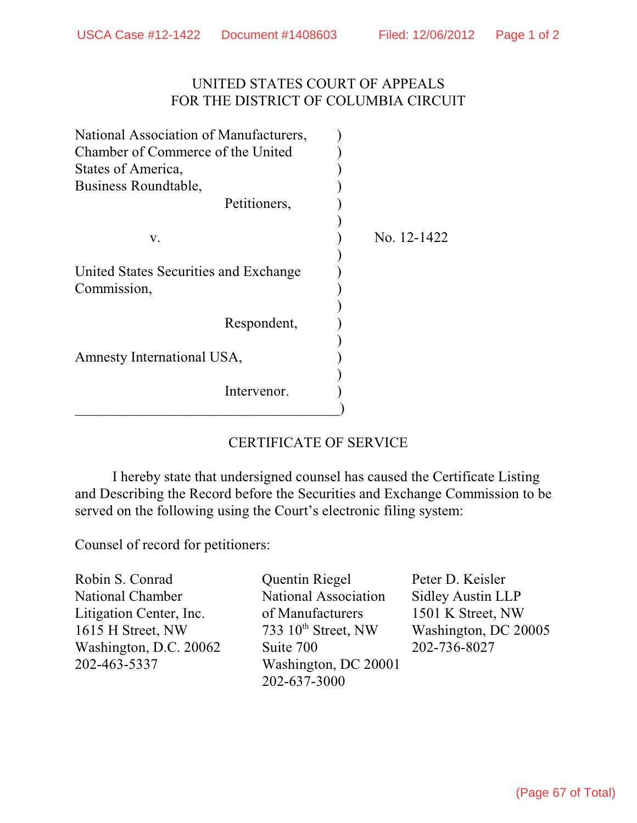# UNITED STATES COURT OF APPEALS FOR THE DISTRICT OF COLUMBIA CIRCUIT

| National Association of Manufacturers,               |  |             |
|------------------------------------------------------|--|-------------|
| Chamber of Commerce of the United                    |  |             |
| States of America,                                   |  |             |
| Business Roundtable,                                 |  |             |
| Petitioners,                                         |  |             |
|                                                      |  |             |
| V.                                                   |  | No. 12-1422 |
|                                                      |  |             |
| United States Securities and Exchange<br>Commission, |  |             |
|                                                      |  |             |
|                                                      |  |             |
| Respondent,                                          |  |             |
|                                                      |  |             |
| Amnesty International USA,                           |  |             |
|                                                      |  |             |
| Intervenor.                                          |  |             |
|                                                      |  |             |

# CERTIFICATE OF SERVICE

I hereby state that undersigned counsel has caused the Certificate Listing and Describing the Record before the Securities and Exchange Commission to be served on the following using the Court's electronic filing system:

Counsel of record for petitioners:

National Chamber National Association Sidley Austin LLP Litigation Center, Inc. of Manufacturers 1501 K Street, NW 1615 H Street, NW  $733\,10^{th}$  Street, NW Washington, DC 20005 Washington, D.C. 20062 Suite 700 202-736-8027 202-463-5337 Washington, DC 20001

Robin S. Conrad Quentin Riegel Peter D. Keisler 202-637-3000